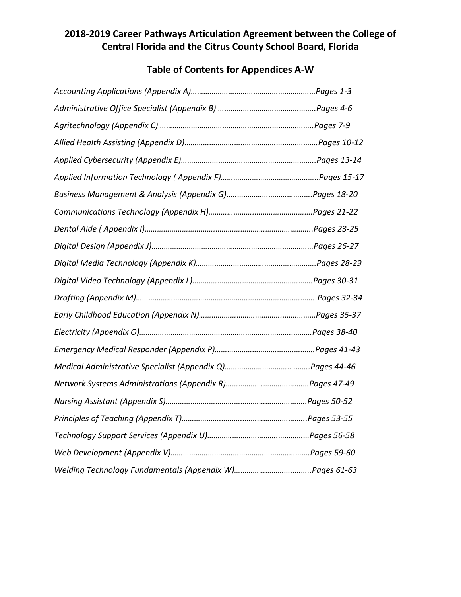# **2018-2019 Career Pathways Articulation Agreement between the College of Central Florida and the Citrus County School Board, Florida**

# **Table of Contents for Appendices A-W**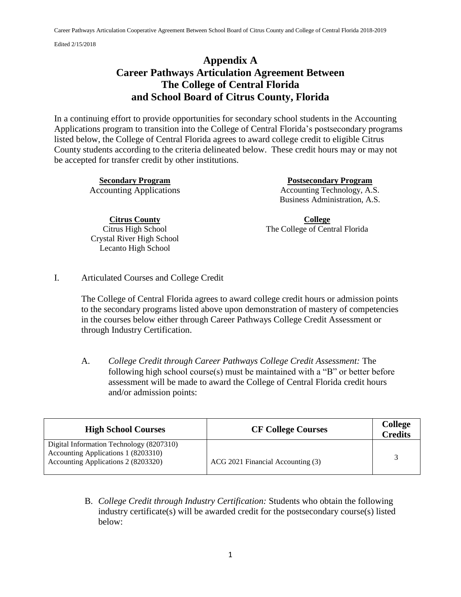# **Appendix A Career Pathways Articulation Agreement Between The College of Central Florida and School Board of Citrus County, Florida**

In a continuing effort to provide opportunities for secondary school students in the Accounting Applications program to transition into the College of Central Florida's postsecondary programs listed below, the College of Central Florida agrees to award college credit to eligible Citrus County students according to the criteria delineated below. These credit hours may or may not be accepted for transfer credit by other institutions.

**Secondary Program Postsecondary Program**  Accounting Applications Accounting Technology, A.S. Business Administration, A.S.

> **College** The College of Central Florida

**Citrus County** Citrus High School Crystal River High School Lecanto High School

I. Articulated Courses and College Credit

The College of Central Florida agrees to award college credit hours or admission points to the secondary programs listed above upon demonstration of mastery of competencies in the courses below either through Career Pathways College Credit Assessment or through Industry Certification.

A. *College Credit through Career Pathways College Credit Assessment:* The following high school course(s) must be maintained with a "B" or better before assessment will be made to award the College of Central Florida credit hours and/or admission points:

| <b>High School Courses</b>                                                                                             | <b>CF College Courses</b>         | <b>College</b><br><b>Credits</b> |
|------------------------------------------------------------------------------------------------------------------------|-----------------------------------|----------------------------------|
| Digital Information Technology (8207310)<br>Accounting Applications 1 (8203310)<br>Accounting Applications 2 (8203320) | ACG 2021 Financial Accounting (3) | $\mathcal{R}$                    |

B. *College Credit through Industry Certification:* Students who obtain the following industry certificate(s) will be awarded credit for the postsecondary course(s) listed below: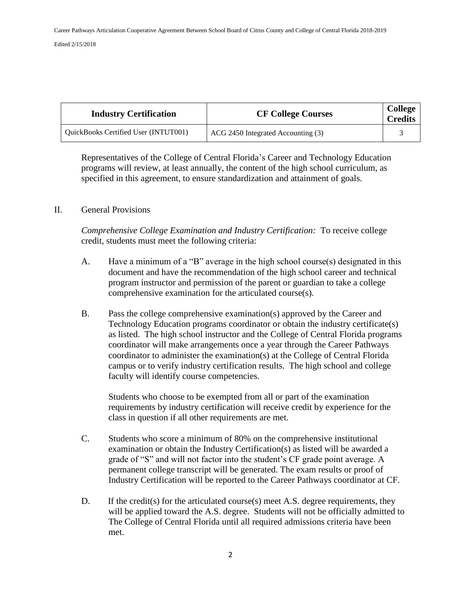| <b>Industry Certification</b>        | <b>CF College Courses</b>          | <b>College</b><br><b>Credits</b> |
|--------------------------------------|------------------------------------|----------------------------------|
| QuickBooks Certified User (INTUT001) | ACG 2450 Integrated Accounting (3) |                                  |

Representatives of the College of Central Florida's Career and Technology Education programs will review, at least annually, the content of the high school curriculum, as specified in this agreement, to ensure standardization and attainment of goals.

### II. General Provisions

*Comprehensive College Examination and Industry Certification:* To receive college credit, students must meet the following criteria:

- A. Have a minimum of a "B" average in the high school course(s) designated in this document and have the recommendation of the high school career and technical program instructor and permission of the parent or guardian to take a college comprehensive examination for the articulated course(s).
- B. Pass the college comprehensive examination(s) approved by the Career and Technology Education programs coordinator or obtain the industry certificate(s) as listed. The high school instructor and the College of Central Florida programs coordinator will make arrangements once a year through the Career Pathways coordinator to administer the examination(s) at the College of Central Florida campus or to verify industry certification results. The high school and college faculty will identify course competencies.

Students who choose to be exempted from all or part of the examination requirements by industry certification will receive credit by experience for the class in question if all other requirements are met.

- C. Students who score a minimum of 80% on the comprehensive institutional examination or obtain the Industry Certification(s) as listed will be awarded a grade of "S" and will not factor into the student's CF grade point average. A permanent college transcript will be generated. The exam results or proof of Industry Certification will be reported to the Career Pathways coordinator at CF.
- D. If the credit(s) for the articulated course(s) meet A.S. degree requirements, they will be applied toward the A.S. degree. Students will not be officially admitted to The College of Central Florida until all required admissions criteria have been met.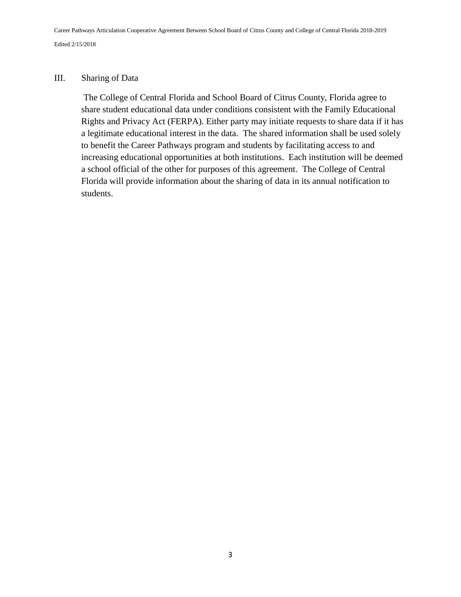### III. Sharing of Data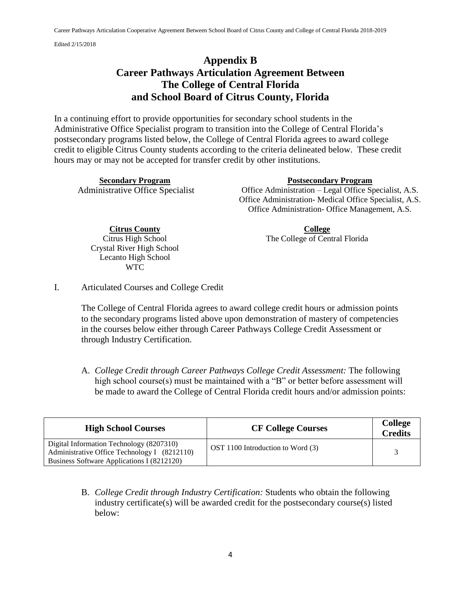# **Appendix B Career Pathways Articulation Agreement Between The College of Central Florida and School Board of Citrus County, Florida**

In a continuing effort to provide opportunities for secondary school students in the Administrative Office Specialist program to transition into the College of Central Florida's postsecondary programs listed below, the College of Central Florida agrees to award college credit to eligible Citrus County students according to the criteria delineated below. These credit hours may or may not be accepted for transfer credit by other institutions.

**Secondary Program Postsecondary Program** 

Administrative Office Specialist Office Administration – Legal Office Specialist, A.S. Office Administration- Medical Office Specialist, A.S. Office Administration- Office Management, A.S.

> **College** The College of Central Florida

**Citrus County** Citrus High School Crystal River High School Lecanto High School WTC

I. Articulated Courses and College Credit

The College of Central Florida agrees to award college credit hours or admission points to the secondary programs listed above upon demonstration of mastery of competencies in the courses below either through Career Pathways College Credit Assessment or through Industry Certification.

A. *College Credit through Career Pathways College Credit Assessment:* The following high school course(s) must be maintained with a "B" or better before assessment will be made to award the College of Central Florida credit hours and/or admission points:

| <b>High School Courses</b>                                                                                                             | <b>CF College Courses</b>         | <b>College</b><br><b>Credits</b> |
|----------------------------------------------------------------------------------------------------------------------------------------|-----------------------------------|----------------------------------|
| Digital Information Technology (8207310)<br>Administrative Office Technology I (8212110)<br>Business Software Applications I (8212120) | OST 1100 Introduction to Word (3) |                                  |

B. *College Credit through Industry Certification:* Students who obtain the following industry certificate(s) will be awarded credit for the postsecondary course(s) listed below: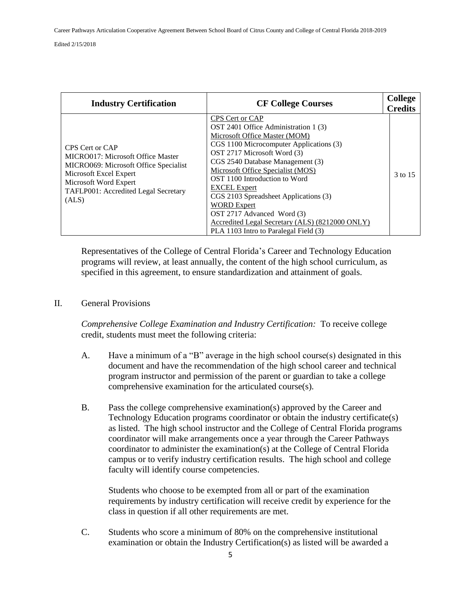| <b>Industry Certification</b>                                                                                                                                                                     | <b>CF College Courses</b>                                                                                                                                                                                                                                                                                                                                                                                                                                                                    | <b>College</b><br><b>Credits</b> |
|---------------------------------------------------------------------------------------------------------------------------------------------------------------------------------------------------|----------------------------------------------------------------------------------------------------------------------------------------------------------------------------------------------------------------------------------------------------------------------------------------------------------------------------------------------------------------------------------------------------------------------------------------------------------------------------------------------|----------------------------------|
| CPS Cert or CAP<br>MICRO017: Microsoft Office Master<br>MICRO069: Microsoft Office Specialist<br>Microsoft Excel Expert<br>Microsoft Word Expert<br>TAFLP001: Accredited Legal Secretary<br>(ALS) | CPS Cert or CAP<br>OST 2401 Office Administration 1 (3)<br>Microsoft Office Master (MOM)<br>CGS 1100 Microcomputer Applications (3)<br>OST 2717 Microsoft Word (3)<br>CGS 2540 Database Management (3)<br>Microsoft Office Specialist (MOS)<br>OST 1100 Introduction to Word<br><b>EXCEL Expert</b><br>CGS 2103 Spreadsheet Applications (3)<br><b>WORD Expert</b><br>OST 2717 Advanced Word (3)<br>Accredited Legal Secretary (ALS) (8212000 ONLY)<br>PLA 1103 Intro to Paralegal Field (3) | 3 to 15                          |

Representatives of the College of Central Florida's Career and Technology Education programs will review, at least annually, the content of the high school curriculum, as specified in this agreement, to ensure standardization and attainment of goals.

#### II. General Provisions

*Comprehensive College Examination and Industry Certification:* To receive college credit, students must meet the following criteria:

- A. Have a minimum of a "B" average in the high school course(s) designated in this document and have the recommendation of the high school career and technical program instructor and permission of the parent or guardian to take a college comprehensive examination for the articulated course(s).
- B. Pass the college comprehensive examination(s) approved by the Career and Technology Education programs coordinator or obtain the industry certificate(s) as listed. The high school instructor and the College of Central Florida programs coordinator will make arrangements once a year through the Career Pathways coordinator to administer the examination(s) at the College of Central Florida campus or to verify industry certification results. The high school and college faculty will identify course competencies.

Students who choose to be exempted from all or part of the examination requirements by industry certification will receive credit by experience for the class in question if all other requirements are met.

C. Students who score a minimum of 80% on the comprehensive institutional examination or obtain the Industry Certification(s) as listed will be awarded a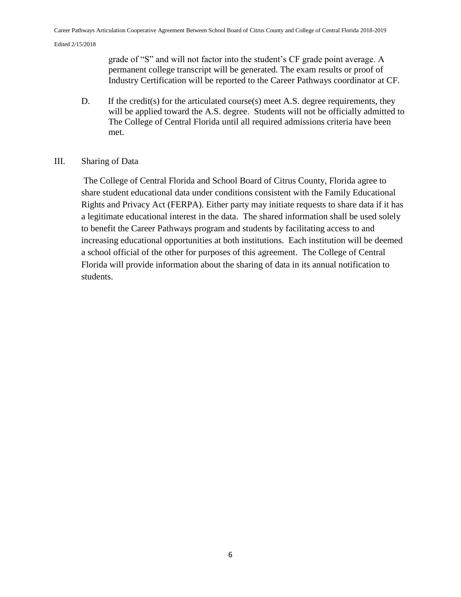grade of "S" and will not factor into the student's CF grade point average. A permanent college transcript will be generated. The exam results or proof of Industry Certification will be reported to the Career Pathways coordinator at CF.

D. If the credit(s) for the articulated course(s) meet A.S. degree requirements, they will be applied toward the A.S. degree. Students will not be officially admitted to The College of Central Florida until all required admissions criteria have been met.

### III. Sharing of Data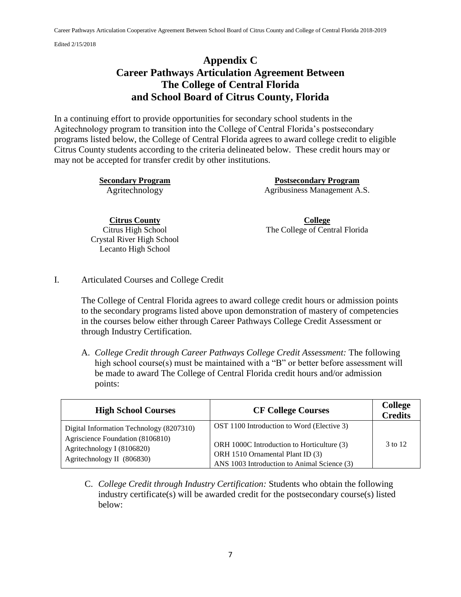# **Appendix C Career Pathways Articulation Agreement Between The College of Central Florida and School Board of Citrus County, Florida**

In a continuing effort to provide opportunities for secondary school students in the Agitechnology program to transition into the College of Central Florida's postsecondary programs listed below, the College of Central Florida agrees to award college credit to eligible Citrus County students according to the criteria delineated below. These credit hours may or may not be accepted for transfer credit by other institutions.

**Secondary Program Postsecondary Program**  Agritechnology Agribusiness Management A.S.

**Citrus County** Citrus High School Crystal River High School Lecanto High School

**College** The College of Central Florida

I. Articulated Courses and College Credit

The College of Central Florida agrees to award college credit hours or admission points to the secondary programs listed above upon demonstration of mastery of competencies in the courses below either through Career Pathways College Credit Assessment or through Industry Certification.

A. *College Credit through Career Pathways College Credit Assessment:* The following high school course(s) must be maintained with a "B" or better before assessment will be made to award The College of Central Florida credit hours and/or admission points:

| <b>High School Courses</b>                                                                                                               | <b>CF College Courses</b>                                                                                                                                                   | <b>College</b><br><b>Credits</b> |
|------------------------------------------------------------------------------------------------------------------------------------------|-----------------------------------------------------------------------------------------------------------------------------------------------------------------------------|----------------------------------|
| Digital Information Technology (8207310)<br>Agriscience Foundation (8106810)<br>Agritechnology I (8106820)<br>Agritechnology II (806830) | OST 1100 Introduction to Word (Elective 3)<br>ORH 1000C Introduction to Horticulture (3)<br>ORH 1510 Ornamental Plant ID (3)<br>ANS 1003 Introduction to Animal Science (3) | 3 to 12                          |

C. *College Credit through Industry Certification:* Students who obtain the following industry certificate(s) will be awarded credit for the postsecondary course(s) listed below: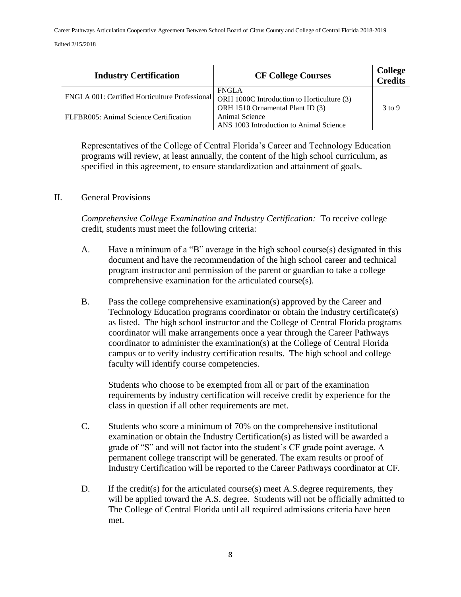Career Pathways Articulation Cooperative Agreement Between School Board of Citrus County and College of Central Florida 2018-2019

Edited 2/15/2018

| <b>Industry Certification</b>                                                                           | <b>CF College Courses</b>                                 | <b>College</b><br>Credits |
|---------------------------------------------------------------------------------------------------------|-----------------------------------------------------------|---------------------------|
| FNGLA 001: Certified Horticulture Professional $\sqrt{\text{OH} 1000}$ Introduction to Horticulture (3) | <b>FNGLA</b><br>ORH 1510 Ornamental Plant ID (3)          | $3$ to 9                  |
| FLFBR005: Animal Science Certification                                                                  | Animal Science<br>ANS 1003 Introduction to Animal Science |                           |

Representatives of the College of Central Florida's Career and Technology Education programs will review, at least annually, the content of the high school curriculum, as specified in this agreement, to ensure standardization and attainment of goals.

### II. General Provisions

*Comprehensive College Examination and Industry Certification:* To receive college credit, students must meet the following criteria:

- A. Have a minimum of a "B" average in the high school course(s) designated in this document and have the recommendation of the high school career and technical program instructor and permission of the parent or guardian to take a college comprehensive examination for the articulated course(s).
- B. Pass the college comprehensive examination(s) approved by the Career and Technology Education programs coordinator or obtain the industry certificate(s) as listed. The high school instructor and the College of Central Florida programs coordinator will make arrangements once a year through the Career Pathways coordinator to administer the examination(s) at the College of Central Florida campus or to verify industry certification results. The high school and college faculty will identify course competencies.

Students who choose to be exempted from all or part of the examination requirements by industry certification will receive credit by experience for the class in question if all other requirements are met.

- C. Students who score a minimum of 70% on the comprehensive institutional examination or obtain the Industry Certification(s) as listed will be awarded a grade of "S" and will not factor into the student's CF grade point average. A permanent college transcript will be generated. The exam results or proof of Industry Certification will be reported to the Career Pathways coordinator at CF.
- D. If the credit(s) for the articulated course(s) meet A.S. degree requirements, they will be applied toward the A.S. degree. Students will not be officially admitted to The College of Central Florida until all required admissions criteria have been met.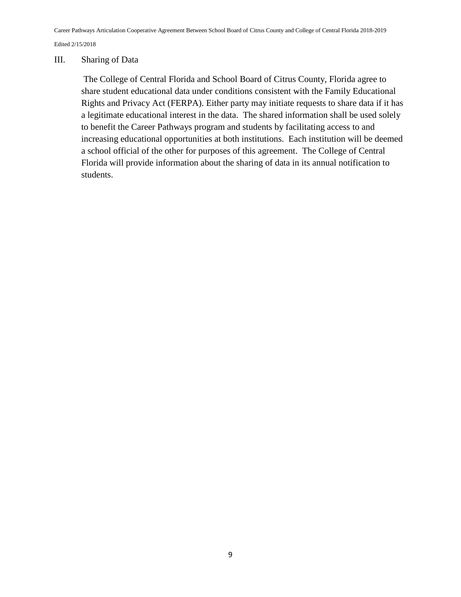#### III. Sharing of Data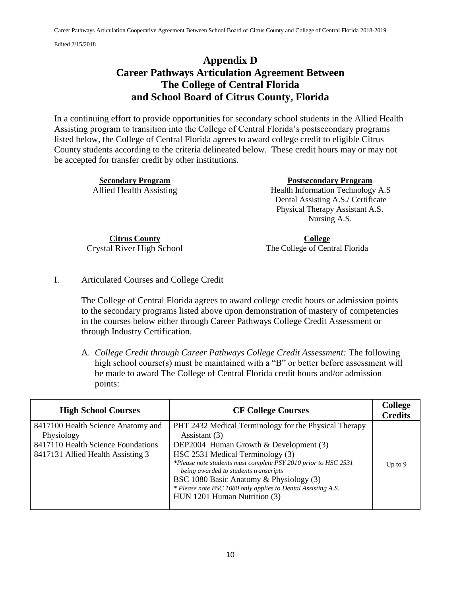# **Appendix D Career Pathways Articulation Agreement Between The College of Central Florida and School Board of Citrus County, Florida**

In a continuing effort to provide opportunities for secondary school students in the Allied Health Assisting program to transition into the College of Central Florida's postsecondary programs listed below, the College of Central Florida agrees to award college credit to eligible Citrus County students according to the criteria delineated below. These credit hours may or may not be accepted for transfer credit by other institutions.

| <b>Secondary Program</b> | <b>Postsecondary Program</b>       |
|--------------------------|------------------------------------|
| Allied Health Assisting  | Health Information Technology A.S  |
|                          | Dental Assisting A.S./ Certificate |
|                          | Physical Therapy Assistant A.S.    |
|                          | Nursing A.S.                       |
|                          |                                    |

**Citrus County** Crystal River High School

**College** The College of Central Florida

I. Articulated Courses and College Credit

The College of Central Florida agrees to award college credit hours or admission points to the secondary programs listed above upon demonstration of mastery of competencies in the courses below either through Career Pathways College Credit Assessment or through Industry Certification.

A. *College Credit through Career Pathways College Credit Assessment:* The following high school course(s) must be maintained with a "B" or better before assessment will be made to award The College of Central Florida credit hours and/or admission points:

| <b>High School Courses</b>                                                                                                  | <b>CF College Courses</b>                                                                                                                                                                                                                                                                                                                                                                                  | <b>College</b><br><b>Credits</b> |
|-----------------------------------------------------------------------------------------------------------------------------|------------------------------------------------------------------------------------------------------------------------------------------------------------------------------------------------------------------------------------------------------------------------------------------------------------------------------------------------------------------------------------------------------------|----------------------------------|
| 8417100 Health Science Anatomy and<br>Physiology<br>8417110 Health Science Foundations<br>8417131 Allied Health Assisting 3 | PHT 2432 Medical Terminology for the Physical Therapy<br>Assistant (3)<br>DEP2004 Human Growth & Development (3)<br>HSC 2531 Medical Terminology (3)<br>*Please note students must complete PSY 2010 prior to HSC 2531<br>being awarded to students transcripts<br>BSC 1080 Basic Anatomy & Physiology (3)<br>* Please note BSC 1080 only applies to Dental Assisting A.S.<br>HUN 1201 Human Nutrition (3) | Up to $9$                        |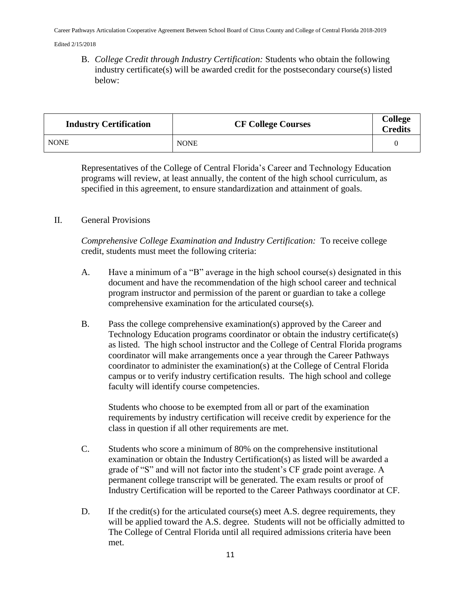B. *College Credit through Industry Certification:* Students who obtain the following industry certificate(s) will be awarded credit for the postsecondary course(s) listed below:

| <b>Industry Certification</b> | <b>CF College Courses</b> | <b>College</b><br><b>Credits</b> |
|-------------------------------|---------------------------|----------------------------------|
| <b>NONE</b>                   | <b>NONE</b>               |                                  |

Representatives of the College of Central Florida's Career and Technology Education programs will review, at least annually, the content of the high school curriculum, as specified in this agreement, to ensure standardization and attainment of goals.

### II. General Provisions

*Comprehensive College Examination and Industry Certification:* To receive college credit, students must meet the following criteria:

- A. Have a minimum of a "B" average in the high school course(s) designated in this document and have the recommendation of the high school career and technical program instructor and permission of the parent or guardian to take a college comprehensive examination for the articulated course(s).
- B. Pass the college comprehensive examination(s) approved by the Career and Technology Education programs coordinator or obtain the industry certificate(s) as listed. The high school instructor and the College of Central Florida programs coordinator will make arrangements once a year through the Career Pathways coordinator to administer the examination(s) at the College of Central Florida campus or to verify industry certification results. The high school and college faculty will identify course competencies.

Students who choose to be exempted from all or part of the examination requirements by industry certification will receive credit by experience for the class in question if all other requirements are met.

- C. Students who score a minimum of 80% on the comprehensive institutional examination or obtain the Industry Certification(s) as listed will be awarded a grade of "S" and will not factor into the student's CF grade point average. A permanent college transcript will be generated. The exam results or proof of Industry Certification will be reported to the Career Pathways coordinator at CF.
- D. If the credit(s) for the articulated course(s) meet A.S. degree requirements, they will be applied toward the A.S. degree. Students will not be officially admitted to The College of Central Florida until all required admissions criteria have been met.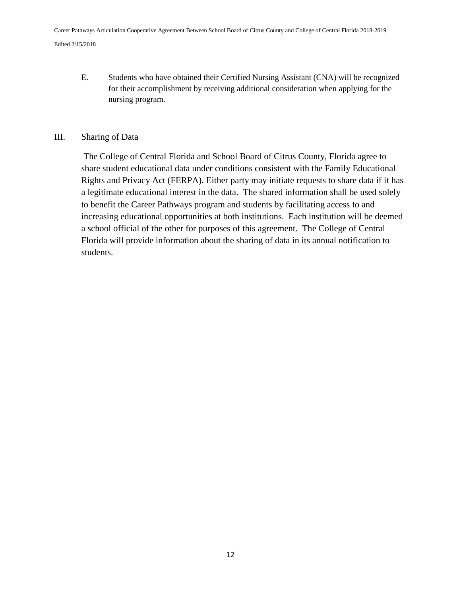E. Students who have obtained their Certified Nursing Assistant (CNA) will be recognized for their accomplishment by receiving additional consideration when applying for the nursing program.

### III. Sharing of Data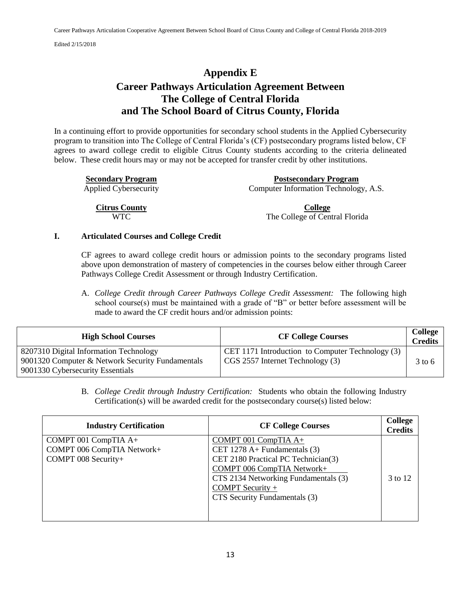# **Appendix E Career Pathways Articulation Agreement Between The College of Central Florida and The School Board of Citrus County, Florida**

In a continuing effort to provide opportunities for secondary school students in the Applied Cybersecurity program to transition into The College of Central Florida's (CF) postsecondary programs listed below, CF agrees to award college credit to eligible Citrus County students according to the criteria delineated below. These credit hours may or may not be accepted for transfer credit by other institutions.

| <b>Secondary Program</b>     | <b>Postsecondary Program</b>          |
|------------------------------|---------------------------------------|
| <b>Applied Cybersecurity</b> | Computer Information Technology, A.S. |
|                              |                                       |
| <b>Citrus County</b>         | College                               |
| WTC.                         | The College of Central Florida        |

#### **I. Articulated Courses and College Credit**

CF agrees to award college credit hours or admission points to the secondary programs listed above upon demonstration of mastery of competencies in the courses below either through Career Pathways College Credit Assessment or through Industry Certification.

A. *College Credit through Career Pathways College Credit Assessment:* The following high school course(s) must be maintained with a grade of "B" or better before assessment will be made to award the CF credit hours and/or admission points:

| <b>High School Courses</b>                                                                                                     | <b>CF College Courses</b>                                                            | <b>College</b><br><b>Credits</b> |
|--------------------------------------------------------------------------------------------------------------------------------|--------------------------------------------------------------------------------------|----------------------------------|
| 8207310 Digital Information Technology<br>9001320 Computer & Network Security Fundamentals<br>9001330 Cybersecurity Essentials | CET 1171 Introduction to Computer Technology (3)<br>CGS 2557 Internet Technology (3) | $3 \text{ to } 6$                |

B. *College Credit through Industry Certification:* Students who obtain the following Industry Certification(s) will be awarded credit for the postsecondary course(s) listed below:

| <b>Industry Certification</b>                                             | <b>CF College Courses</b>                                                                                                                                                                                                    | College<br><b>Credits</b> |
|---------------------------------------------------------------------------|------------------------------------------------------------------------------------------------------------------------------------------------------------------------------------------------------------------------------|---------------------------|
| COMPT 001 CompTIA A+<br>COMPT 006 CompTIA Network+<br>COMPT 008 Security+ | COMPT 001 CompTIA $A+$<br>CET 1278 A+ Fundamentals $(3)$<br>CET 2180 Practical PC Technician(3)<br>COMPT 006 CompTIA Network+<br>CTS 2134 Networking Fundamentals (3)<br>COMPT Security $+$<br>CTS Security Fundamentals (3) | 3 to 12                   |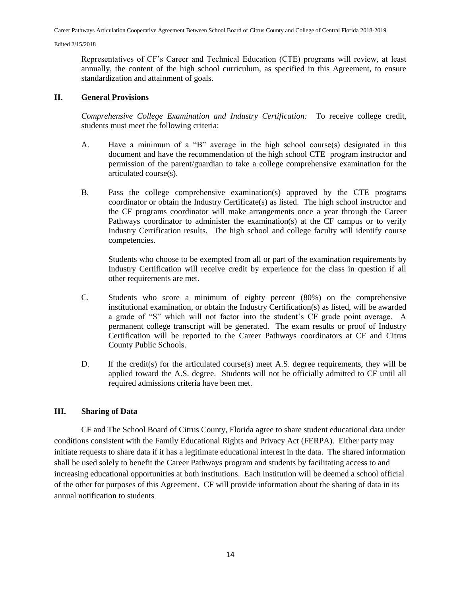Representatives of CF's Career and Technical Education (CTE) programs will review, at least annually, the content of the high school curriculum, as specified in this Agreement, to ensure standardization and attainment of goals.

#### **II. General Provisions**

*Comprehensive College Examination and Industry Certification:* To receive college credit, students must meet the following criteria:

- A. Have a minimum of a "B" average in the high school course(s) designated in this document and have the recommendation of the high school CTE program instructor and permission of the parent/guardian to take a college comprehensive examination for the articulated course(s).
- B. Pass the college comprehensive examination(s) approved by the CTE programs coordinator or obtain the Industry Certificate(s) as listed. The high school instructor and the CF programs coordinator will make arrangements once a year through the Career Pathways coordinator to administer the examination(s) at the CF campus or to verify Industry Certification results. The high school and college faculty will identify course competencies.

Students who choose to be exempted from all or part of the examination requirements by Industry Certification will receive credit by experience for the class in question if all other requirements are met.

- C. Students who score a minimum of eighty percent (80%) on the comprehensive institutional examination, or obtain the Industry Certification(s) as listed, will be awarded a grade of "S" which will not factor into the student's CF grade point average. A permanent college transcript will be generated. The exam results or proof of Industry Certification will be reported to the Career Pathways coordinators at CF and Citrus County Public Schools.
- D. If the credit(s) for the articulated course(s) meet A.S. degree requirements, they will be applied toward the A.S. degree. Students will not be officially admitted to CF until all required admissions criteria have been met.

#### **III. Sharing of Data**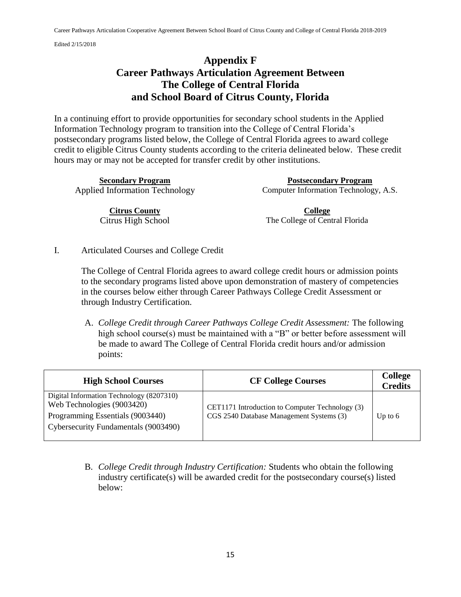# **Appendix F Career Pathways Articulation Agreement Between The College of Central Florida and School Board of Citrus County, Florida**

In a continuing effort to provide opportunities for secondary school students in the Applied Information Technology program to transition into the College of Central Florida's postsecondary programs listed below, the College of Central Florida agrees to award college credit to eligible Citrus County students according to the criteria delineated below. These credit hours may or may not be accepted for transfer credit by other institutions.

**Citrus County** Citrus High School

**Secondary Program Postsecondary Program**  Applied Information Technology Computer Information Technology, A.S.

> **College** The College of Central Florida

I. Articulated Courses and College Credit

The College of Central Florida agrees to award college credit hours or admission points to the secondary programs listed above upon demonstration of mastery of competencies in the courses below either through Career Pathways College Credit Assessment or through Industry Certification.

A. *College Credit through Career Pathways College Credit Assessment:* The following high school course(s) must be maintained with a "B" or better before assessment will be made to award The College of Central Florida credit hours and/or admission points:

| <b>High School Courses</b>                                                                                                                         | <b>CF College Courses</b>                                                                   | <b>College</b><br><b>Credits</b> |
|----------------------------------------------------------------------------------------------------------------------------------------------------|---------------------------------------------------------------------------------------------|----------------------------------|
| Digital Information Technology (8207310)<br>Web Technologies (9003420)<br>Programming Essentials (9003440)<br>Cybersecurity Fundamentals (9003490) | CET1171 Introduction to Computer Technology (3)<br>CGS 2540 Database Management Systems (3) | Up to $6$                        |

B. *College Credit through Industry Certification:* Students who obtain the following industry certificate(s) will be awarded credit for the postsecondary course(s) listed below: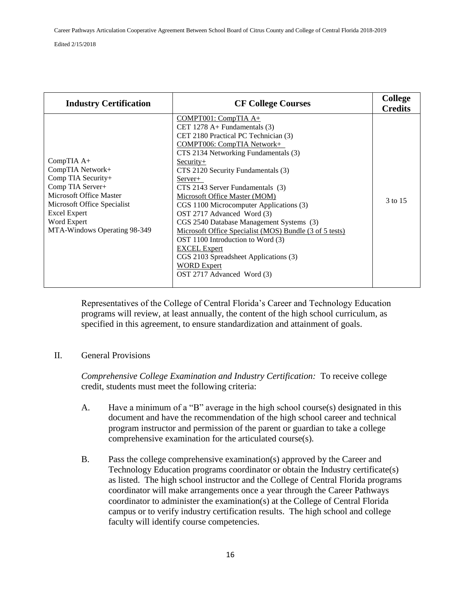| <b>Industry Certification</b>                                                                                                                                                                              | <b>CF College Courses</b>                                                                                                                                                                                                                                                                                                                                                                                                                                                                                                                                                                                                                          | <b>College</b><br><b>Credits</b> |
|------------------------------------------------------------------------------------------------------------------------------------------------------------------------------------------------------------|----------------------------------------------------------------------------------------------------------------------------------------------------------------------------------------------------------------------------------------------------------------------------------------------------------------------------------------------------------------------------------------------------------------------------------------------------------------------------------------------------------------------------------------------------------------------------------------------------------------------------------------------------|----------------------------------|
| $CompTIA A+$<br>CompTIA Network+<br>Comp TIA Security+<br>Comp TIA Server+<br>Microsoft Office Master<br>Microsoft Office Specialist<br><b>Excel Expert</b><br>Word Expert<br>MTA-Windows Operating 98-349 | COMPT001: CompTIA A+<br>CET 1278 $A+$ Fundamentals (3)<br>CET 2180 Practical PC Technician (3)<br>COMPT006: CompTIA Network+<br>CTS 2134 Networking Fundamentals (3)<br>$Security+$<br>CTS 2120 Security Fundamentals (3)<br>Server+<br>CTS 2143 Server Fundamentals (3)<br>Microsoft Office Master (MOM)<br>CGS 1100 Microcomputer Applications (3)<br>OST 2717 Advanced Word (3)<br>CGS 2540 Database Management Systems (3)<br>Microsoft Office Specialist (MOS) Bundle (3 of 5 tests)<br>OST 1100 Introduction to Word (3)<br><b>EXCEL Expert</b><br>CGS 2103 Spreadsheet Applications (3)<br><b>WORD Expert</b><br>OST 2717 Advanced Word (3) | 3 to 15                          |

Representatives of the College of Central Florida's Career and Technology Education programs will review, at least annually, the content of the high school curriculum, as specified in this agreement, to ensure standardization and attainment of goals.

II. General Provisions

*Comprehensive College Examination and Industry Certification:* To receive college credit, students must meet the following criteria:

- A. Have a minimum of a "B" average in the high school course(s) designated in this document and have the recommendation of the high school career and technical program instructor and permission of the parent or guardian to take a college comprehensive examination for the articulated course(s).
- B. Pass the college comprehensive examination(s) approved by the Career and Technology Education programs coordinator or obtain the Industry certificate(s) as listed. The high school instructor and the College of Central Florida programs coordinator will make arrangements once a year through the Career Pathways coordinator to administer the examination(s) at the College of Central Florida campus or to verify industry certification results. The high school and college faculty will identify course competencies.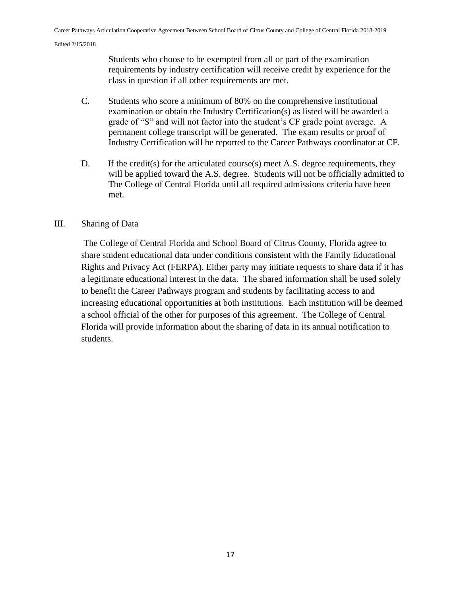Students who choose to be exempted from all or part of the examination requirements by industry certification will receive credit by experience for the class in question if all other requirements are met.

- C. Students who score a minimum of 80% on the comprehensive institutional examination or obtain the Industry Certification(s) as listed will be awarded a grade of "S" and will not factor into the student's CF grade point average. A permanent college transcript will be generated. The exam results or proof of Industry Certification will be reported to the Career Pathways coordinator at CF.
- D. If the credit(s) for the articulated course(s) meet A.S. degree requirements, they will be applied toward the A.S. degree. Students will not be officially admitted to The College of Central Florida until all required admissions criteria have been met.

### III. Sharing of Data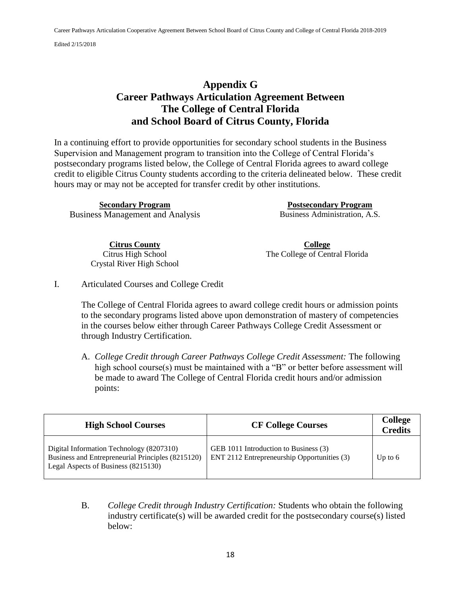### **Appendix G Career Pathways Articulation Agreement Between The College of Central Florida and School Board of Citrus County, Florida**

In a continuing effort to provide opportunities for secondary school students in the Business Supervision and Management program to transition into the College of Central Florida's postsecondary programs listed below, the College of Central Florida agrees to award college credit to eligible Citrus County students according to the criteria delineated below. These credit hours may or may not be accepted for transfer credit by other institutions.

**Secondary Program Postsecondary Program**  Business Management and Analysis Business Administration, A.S.

**Citrus County** Citrus High School Crystal River High School

**College** The College of Central Florida

I. Articulated Courses and College Credit

The College of Central Florida agrees to award college credit hours or admission points to the secondary programs listed above upon demonstration of mastery of competencies in the courses below either through Career Pathways College Credit Assessment or through Industry Certification.

A. *College Credit through Career Pathways College Credit Assessment:* The following high school course(s) must be maintained with a "B" or better before assessment will be made to award The College of Central Florida credit hours and/or admission points:

| <b>High School Courses</b>                                                                                                           | <b>CF College Courses</b>                                                            | <b>College</b><br><b>Credits</b> |
|--------------------------------------------------------------------------------------------------------------------------------------|--------------------------------------------------------------------------------------|----------------------------------|
| Digital Information Technology (8207310)<br>Business and Entrepreneurial Principles (8215120)<br>Legal Aspects of Business (8215130) | GEB 1011 Introduction to Business (3)<br>ENT 2112 Entrepreneurship Opportunities (3) | Up to $6$                        |

B. *College Credit through Industry Certification:* Students who obtain the following industry certificate(s) will be awarded credit for the postsecondary course(s) listed below: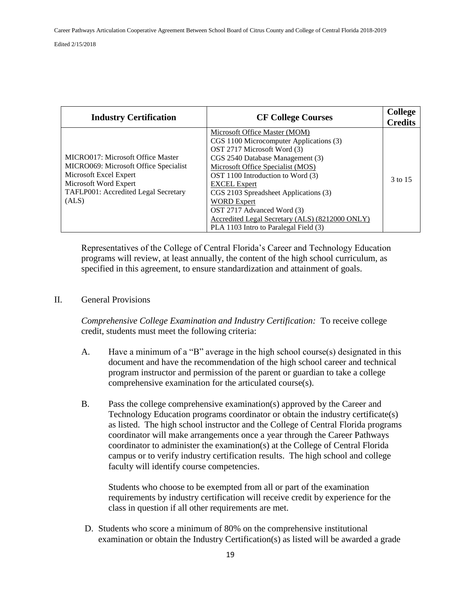| <b>Industry Certification</b>                                                                                                                                                  | <b>CF College Courses</b>                                                                                                                                                                                                                                                                                                                                                                                                             | <b>College</b><br><b>Credits</b> |
|--------------------------------------------------------------------------------------------------------------------------------------------------------------------------------|---------------------------------------------------------------------------------------------------------------------------------------------------------------------------------------------------------------------------------------------------------------------------------------------------------------------------------------------------------------------------------------------------------------------------------------|----------------------------------|
| MICRO017: Microsoft Office Master<br>MICRO069: Microsoft Office Specialist<br>Microsoft Excel Expert<br>Microsoft Word Expert<br>TAFLP001: Accredited Legal Secretary<br>(ALS) | Microsoft Office Master (MOM)<br>CGS 1100 Microcomputer Applications (3)<br>OST 2717 Microsoft Word (3)<br>CGS 2540 Database Management (3)<br>Microsoft Office Specialist (MOS)<br>OST 1100 Introduction to Word (3)<br><b>EXCEL</b> Expert<br>CGS 2103 Spreadsheet Applications (3)<br><b>WORD Expert</b><br>OST 2717 Advanced Word (3)<br>Accredited Legal Secretary (ALS) (8212000 ONLY)<br>PLA 1103 Intro to Paralegal Field (3) | 3 to 15                          |

Representatives of the College of Central Florida's Career and Technology Education programs will review, at least annually, the content of the high school curriculum, as specified in this agreement, to ensure standardization and attainment of goals.

### II. General Provisions

*Comprehensive College Examination and Industry Certification:* To receive college credit, students must meet the following criteria:

- A. Have a minimum of a "B" average in the high school course(s) designated in this document and have the recommendation of the high school career and technical program instructor and permission of the parent or guardian to take a college comprehensive examination for the articulated course(s).
- B. Pass the college comprehensive examination(s) approved by the Career and Technology Education programs coordinator or obtain the industry certificate(s) as listed. The high school instructor and the College of Central Florida programs coordinator will make arrangements once a year through the Career Pathways coordinator to administer the examination(s) at the College of Central Florida campus or to verify industry certification results. The high school and college faculty will identify course competencies.

Students who choose to be exempted from all or part of the examination requirements by industry certification will receive credit by experience for the class in question if all other requirements are met.

D. Students who score a minimum of 80% on the comprehensive institutional examination or obtain the Industry Certification(s) as listed will be awarded a grade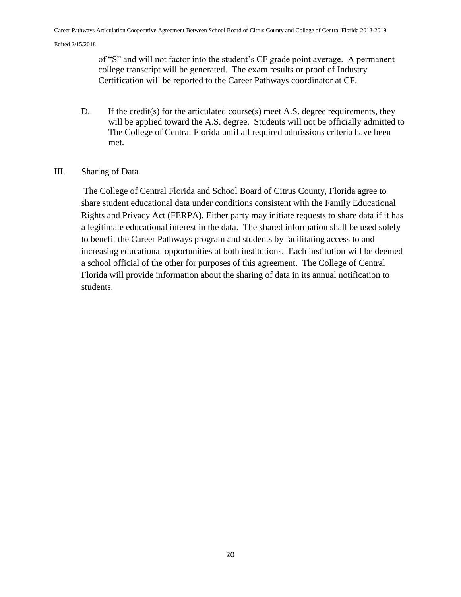of "S" and will not factor into the student's CF grade point average. A permanent college transcript will be generated. The exam results or proof of Industry Certification will be reported to the Career Pathways coordinator at CF.

D. If the credit(s) for the articulated course(s) meet A.S. degree requirements, they will be applied toward the A.S. degree. Students will not be officially admitted to The College of Central Florida until all required admissions criteria have been met.

#### III. Sharing of Data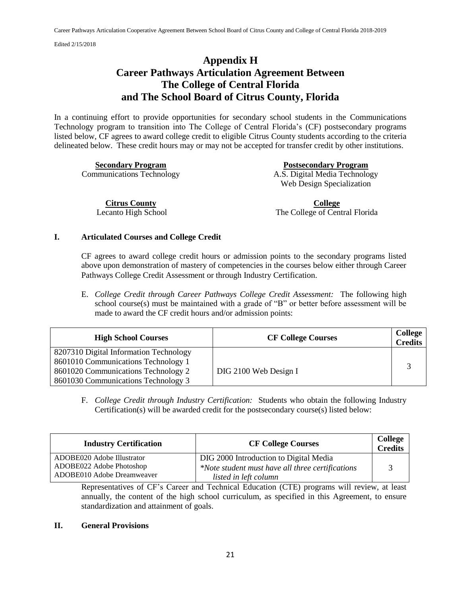## **Appendix H Career Pathways Articulation Agreement Between The College of Central Florida and The School Board of Citrus County, Florida**

In a continuing effort to provide opportunities for secondary school students in the Communications Technology program to transition into The College of Central Florida's (CF) postsecondary programs listed below, CF agrees to award college credit to eligible Citrus County students according to the criteria delineated below. These credit hours may or may not be accepted for transfer credit by other institutions.

**Secondary Program Postsecondary Program**  Communications Technology A.S. Digital Media Technology Web Design Specialization

**Citrus County** Lecanto High School

**College** The College of Central Florida

#### **I. Articulated Courses and College Credit**

CF agrees to award college credit hours or admission points to the secondary programs listed above upon demonstration of mastery of competencies in the courses below either through Career Pathways College Credit Assessment or through Industry Certification.

E. *College Credit through Career Pathways College Credit Assessment:* The following high school course(s) must be maintained with a grade of "B" or better before assessment will be made to award the CF credit hours and/or admission points:

| <b>High School Courses</b>                                                                                                                                  | <b>CF College Courses</b> | College<br><b>Credits</b> |
|-------------------------------------------------------------------------------------------------------------------------------------------------------------|---------------------------|---------------------------|
| 8207310 Digital Information Technology<br>8601010 Communications Technology 1<br>8601020 Communications Technology 2<br>8601030 Communications Technology 3 | DIG 2100 Web Design I     |                           |

F. *College Credit through Industry Certification:* Students who obtain the following Industry Certification(s) will be awarded credit for the postsecondary course(s) listed below:

| <b>Industry Certification</b> | <b>CF College Courses</b>                        | <b>College</b><br><b>Credits</b> |
|-------------------------------|--------------------------------------------------|----------------------------------|
| ADOBE020 Adobe Illustrator    | DIG 2000 Introduction to Digital Media           |                                  |
| ADOBE022 Adobe Photoshop      | *Note student must have all three certifications |                                  |
| ADOBE010 Adobe Dreamweaver    | listed in left column                            |                                  |

Representatives of CF's Career and Technical Education (CTE) programs will review, at least annually, the content of the high school curriculum, as specified in this Agreement, to ensure standardization and attainment of goals.

#### **II. General Provisions**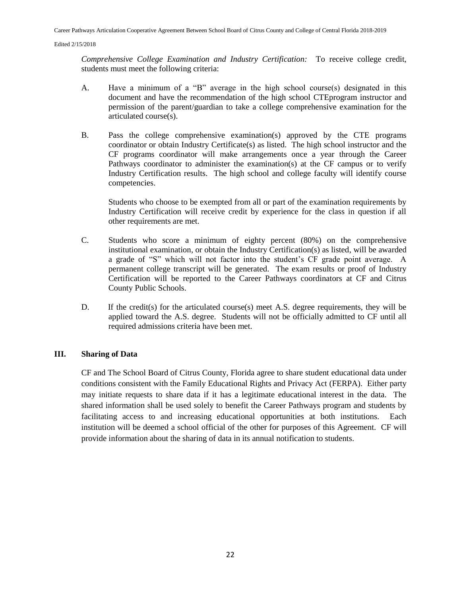*Comprehensive College Examination and Industry Certification:* To receive college credit, students must meet the following criteria:

- A. Have a minimum of a "B" average in the high school course(s) designated in this document and have the recommendation of the high school CTEprogram instructor and permission of the parent/guardian to take a college comprehensive examination for the articulated course(s).
- B. Pass the college comprehensive examination(s) approved by the CTE programs coordinator or obtain Industry Certificate(s) as listed. The high school instructor and the CF programs coordinator will make arrangements once a year through the Career Pathways coordinator to administer the examination(s) at the CF campus or to verify Industry Certification results. The high school and college faculty will identify course competencies.

Students who choose to be exempted from all or part of the examination requirements by Industry Certification will receive credit by experience for the class in question if all other requirements are met.

- C. Students who score a minimum of eighty percent (80%) on the comprehensive institutional examination, or obtain the Industry Certification(s) as listed, will be awarded a grade of "S" which will not factor into the student's CF grade point average. A permanent college transcript will be generated. The exam results or proof of Industry Certification will be reported to the Career Pathways coordinators at CF and Citrus County Public Schools.
- D. If the credit(s) for the articulated course(s) meet A.S. degree requirements, they will be applied toward the A.S. degree. Students will not be officially admitted to CF until all required admissions criteria have been met.

#### **III. Sharing of Data**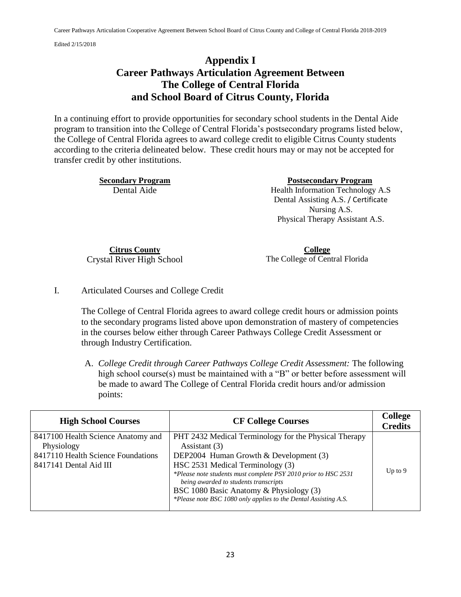# **Appendix I Career Pathways Articulation Agreement Between The College of Central Florida and School Board of Citrus County, Florida**

In a continuing effort to provide opportunities for secondary school students in the Dental Aide program to transition into the College of Central Florida's postsecondary programs listed below, the College of Central Florida agrees to award college credit to eligible Citrus County students according to the criteria delineated below. These credit hours may or may not be accepted for transfer credit by other institutions.

**Secondary Program Postsecondary Program** 

Dental Aide Health Information Technology A.S Dental Assisting A.S. / Certificate Nursing A.S. Physical Therapy Assistant A.S.

**Citrus County** Crystal River High School

**College** The College of Central Florida

I. Articulated Courses and College Credit

The College of Central Florida agrees to award college credit hours or admission points to the secondary programs listed above upon demonstration of mastery of competencies in the courses below either through Career Pathways College Credit Assessment or through Industry Certification.

A. *College Credit through Career Pathways College Credit Assessment:* The following high school course(s) must be maintained with a "B" or better before assessment will be made to award The College of Central Florida credit hours and/or admission points:

| <b>High School Courses</b>                                                                                       | <b>CF College Courses</b>                                                                                                                                                                                                                                                                                                                                                     | <b>College</b><br><b>Credits</b> |
|------------------------------------------------------------------------------------------------------------------|-------------------------------------------------------------------------------------------------------------------------------------------------------------------------------------------------------------------------------------------------------------------------------------------------------------------------------------------------------------------------------|----------------------------------|
| 8417100 Health Science Anatomy and<br>Physiology<br>8417110 Health Science Foundations<br>8417141 Dental Aid III | PHT 2432 Medical Terminology for the Physical Therapy<br>Assistant (3)<br>DEP2004 Human Growth & Development (3)<br>HSC 2531 Medical Terminology (3)<br>*Please note students must complete PSY 2010 prior to HSC 2531<br>being awarded to students transcripts<br>BSC 1080 Basic Anatomy & Physiology (3)<br>*Please note BSC 1080 only applies to the Dental Assisting A.S. | Up to $9$                        |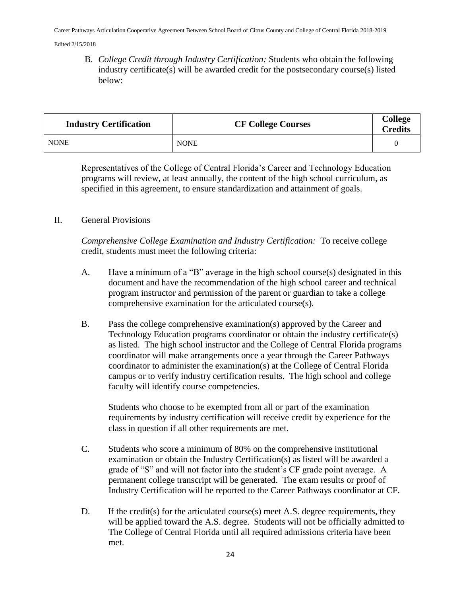B. *College Credit through Industry Certification:* Students who obtain the following industry certificate(s) will be awarded credit for the postsecondary course(s) listed below:

| <b>Industry Certification</b> | <b>CF College Courses</b> | <b>College</b><br><b>Credits</b> |
|-------------------------------|---------------------------|----------------------------------|
| <b>NONE</b>                   | <b>NONE</b>               |                                  |

Representatives of the College of Central Florida's Career and Technology Education programs will review, at least annually, the content of the high school curriculum, as specified in this agreement, to ensure standardization and attainment of goals.

### II. General Provisions

*Comprehensive College Examination and Industry Certification:* To receive college credit, students must meet the following criteria:

- A. Have a minimum of a "B" average in the high school course(s) designated in this document and have the recommendation of the high school career and technical program instructor and permission of the parent or guardian to take a college comprehensive examination for the articulated course(s).
- B. Pass the college comprehensive examination(s) approved by the Career and Technology Education programs coordinator or obtain the industry certificate(s) as listed. The high school instructor and the College of Central Florida programs coordinator will make arrangements once a year through the Career Pathways coordinator to administer the examination(s) at the College of Central Florida campus or to verify industry certification results. The high school and college faculty will identify course competencies.

Students who choose to be exempted from all or part of the examination requirements by industry certification will receive credit by experience for the class in question if all other requirements are met.

- C. Students who score a minimum of 80% on the comprehensive institutional examination or obtain the Industry Certification(s) as listed will be awarded a grade of "S" and will not factor into the student's CF grade point average. A permanent college transcript will be generated. The exam results or proof of Industry Certification will be reported to the Career Pathways coordinator at CF.
- D. If the credit(s) for the articulated course(s) meet A.S. degree requirements, they will be applied toward the A.S. degree. Students will not be officially admitted to The College of Central Florida until all required admissions criteria have been met.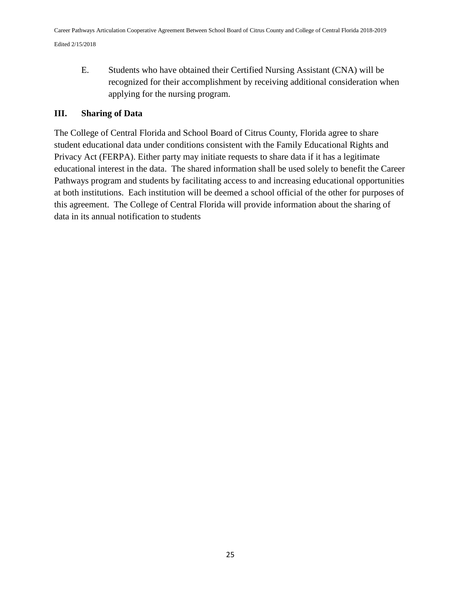E. Students who have obtained their Certified Nursing Assistant (CNA) will be recognized for their accomplishment by receiving additional consideration when applying for the nursing program.

### **III. Sharing of Data**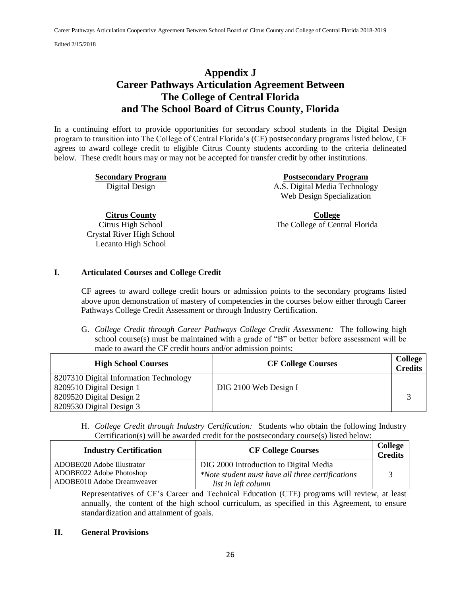### **Appendix J Career Pathways Articulation Agreement Between The College of Central Florida and The School Board of Citrus County, Florida**

In a continuing effort to provide opportunities for secondary school students in the Digital Design program to transition into The College of Central Florida's (CF) postsecondary programs listed below, CF agrees to award college credit to eligible Citrus County students according to the criteria delineated below. These credit hours may or may not be accepted for transfer credit by other institutions.

**Secondary Program Postsecondary Program**  Digital Design A.S. Digital Media Technology Web Design Specialization

**Citrus County**

Citrus High School Crystal River High School Lecanto High School

**College** The College of Central Florida

#### **I. Articulated Courses and College Credit**

CF agrees to award college credit hours or admission points to the secondary programs listed above upon demonstration of mastery of competencies in the courses below either through Career Pathways College Credit Assessment or through Industry Certification.

G. *College Credit through Career Pathways College Credit Assessment:* The following high school course(s) must be maintained with a grade of "B" or better before assessment will be made to award the CF credit hours and/or admission points:

| <b>High School Courses</b>             | <b>CF College Courses</b> | College<br><b>Credits</b> |
|----------------------------------------|---------------------------|---------------------------|
| 8207310 Digital Information Technology |                           |                           |
| 8209510 Digital Design 1               | DIG 2100 Web Design I     |                           |
| 8209520 Digital Design 2               |                           |                           |
| 8209530 Digital Design 3               |                           |                           |

H. *College Credit through Industry Certification:* Students who obtain the following Industry Certification(s) will be awarded credit for the postsecondary course(s) listed below:

| <b>Industry Certification</b> | <b>CF College Courses</b>                        | College<br><b>Credits</b> |
|-------------------------------|--------------------------------------------------|---------------------------|
| ADOBE020 Adobe Illustrator    | DIG 2000 Introduction to Digital Media           |                           |
| ADOBE022 Adobe Photoshop      | *Note student must have all three certifications |                           |
| ADOBE010 Adobe Dreamweaver    | list in left column                              |                           |

Representatives of CF's Career and Technical Education (CTE) programs will review, at least annually, the content of the high school curriculum, as specified in this Agreement, to ensure standardization and attainment of goals.

#### **II. General Provisions**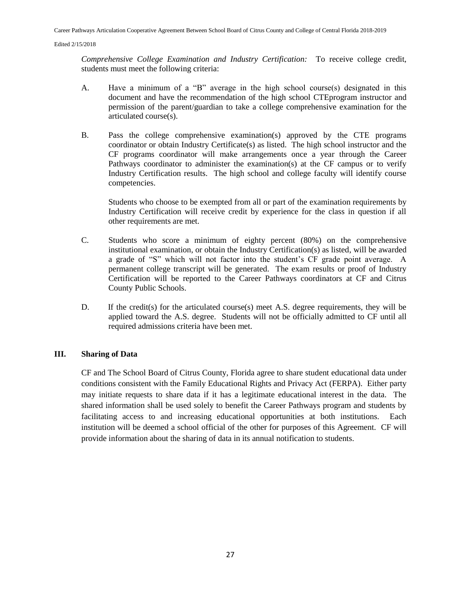*Comprehensive College Examination and Industry Certification:* To receive college credit, students must meet the following criteria:

- A. Have a minimum of a "B" average in the high school course(s) designated in this document and have the recommendation of the high school CTEprogram instructor and permission of the parent/guardian to take a college comprehensive examination for the articulated course(s).
- B. Pass the college comprehensive examination(s) approved by the CTE programs coordinator or obtain Industry Certificate(s) as listed. The high school instructor and the CF programs coordinator will make arrangements once a year through the Career Pathways coordinator to administer the examination(s) at the CF campus or to verify Industry Certification results. The high school and college faculty will identify course competencies.

Students who choose to be exempted from all or part of the examination requirements by Industry Certification will receive credit by experience for the class in question if all other requirements are met.

- C. Students who score a minimum of eighty percent (80%) on the comprehensive institutional examination, or obtain the Industry Certification(s) as listed, will be awarded a grade of "S" which will not factor into the student's CF grade point average. A permanent college transcript will be generated. The exam results or proof of Industry Certification will be reported to the Career Pathways coordinators at CF and Citrus County Public Schools.
- D. If the credit(s) for the articulated course(s) meet A.S. degree requirements, they will be applied toward the A.S. degree. Students will not be officially admitted to CF until all required admissions criteria have been met.

#### **III. Sharing of Data**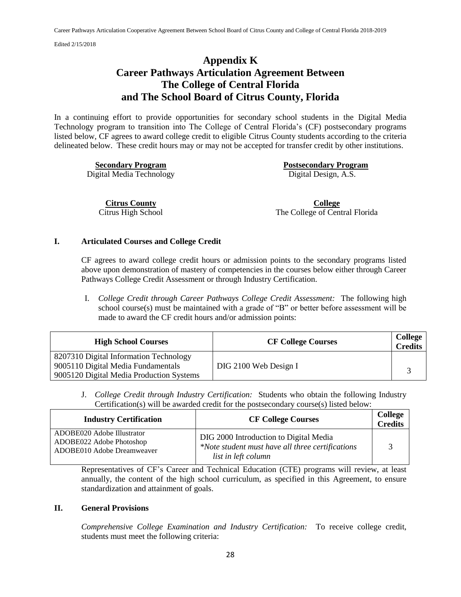## **Appendix K Career Pathways Articulation Agreement Between The College of Central Florida and The School Board of Citrus County, Florida**

In a continuing effort to provide opportunities for secondary school students in the Digital Media Technology program to transition into The College of Central Florida's (CF) postsecondary programs listed below, CF agrees to award college credit to eligible Citrus County students according to the criteria delineated below. These credit hours may or may not be accepted for transfer credit by other institutions.

Digital Media Technology Digital Design, A.S.

**Secondary Program Postsecondary Program** 

**Citrus County** Citrus High School

**College** The College of Central Florida

#### **I. Articulated Courses and College Credit**

CF agrees to award college credit hours or admission points to the secondary programs listed above upon demonstration of mastery of competencies in the courses below either through Career Pathways College Credit Assessment or through Industry Certification.

I. *College Credit through Career Pathways College Credit Assessment:* The following high school course(s) must be maintained with a grade of "B" or better before assessment will be made to award the CF credit hours and/or admission points:

| <b>High School Courses</b>                                                                                               | <b>CF College Courses</b> | <b>College</b><br><b>Credits</b> |
|--------------------------------------------------------------------------------------------------------------------------|---------------------------|----------------------------------|
| 8207310 Digital Information Technology<br>9005110 Digital Media Fundamentals<br>9005120 Digital Media Production Systems | DIG 2100 Web Design I     |                                  |

J. *College Credit through Industry Certification:* Students who obtain the following Industry Certification(s) will be awarded credit for the postsecondary course(s) listed below:

| <b>Industry Certification</b>                                                        | <b>CF College Courses</b>                                                                                         | <b>College</b><br><b>Credits</b> |
|--------------------------------------------------------------------------------------|-------------------------------------------------------------------------------------------------------------------|----------------------------------|
| ADOBE020 Adobe Illustrator<br>ADOBE022 Adobe Photoshop<br>ADOBE010 Adobe Dreamweaver | DIG 2000 Introduction to Digital Media<br>*Note student must have all three certifications<br>list in left column |                                  |

Representatives of CF's Career and Technical Education (CTE) programs will review, at least annually, the content of the high school curriculum, as specified in this Agreement, to ensure standardization and attainment of goals.

#### **II. General Provisions**

*Comprehensive College Examination and Industry Certification:* To receive college credit, students must meet the following criteria: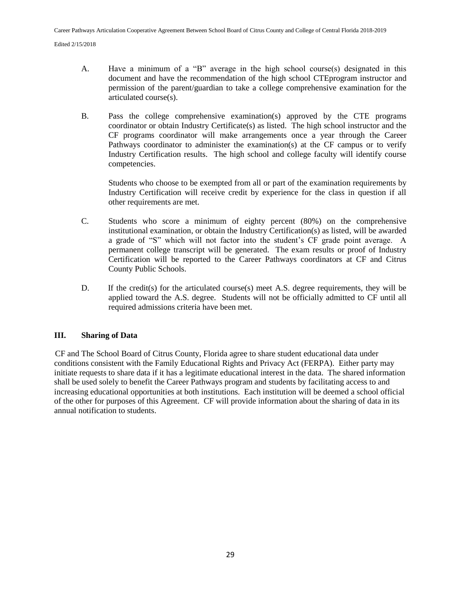- A. Have a minimum of a "B" average in the high school course(s) designated in this document and have the recommendation of the high school CTEprogram instructor and permission of the parent/guardian to take a college comprehensive examination for the articulated course(s).
- B. Pass the college comprehensive examination(s) approved by the CTE programs coordinator or obtain Industry Certificate(s) as listed. The high school instructor and the CF programs coordinator will make arrangements once a year through the Career Pathways coordinator to administer the examination(s) at the CF campus or to verify Industry Certification results. The high school and college faculty will identify course competencies.

Students who choose to be exempted from all or part of the examination requirements by Industry Certification will receive credit by experience for the class in question if all other requirements are met.

- C. Students who score a minimum of eighty percent (80%) on the comprehensive institutional examination, or obtain the Industry Certification(s) as listed, will be awarded a grade of "S" which will not factor into the student's CF grade point average. A permanent college transcript will be generated. The exam results or proof of Industry Certification will be reported to the Career Pathways coordinators at CF and Citrus County Public Schools.
- D. If the credit(s) for the articulated course(s) meet A.S. degree requirements, they will be applied toward the A.S. degree. Students will not be officially admitted to CF until all required admissions criteria have been met.

### **III. Sharing of Data**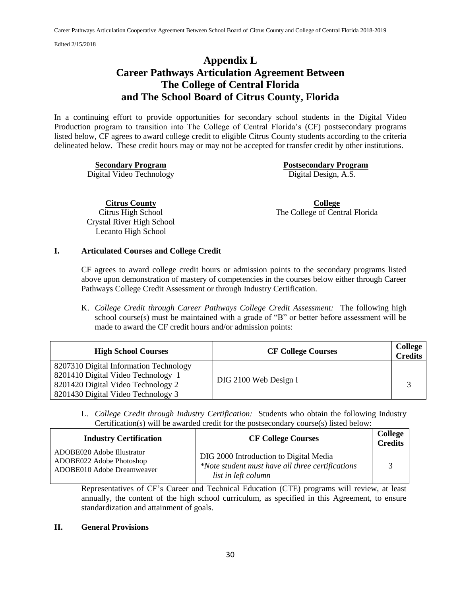## **Appendix L Career Pathways Articulation Agreement Between The College of Central Florida and The School Board of Citrus County, Florida**

In a continuing effort to provide opportunities for secondary school students in the Digital Video Production program to transition into The College of Central Florida's (CF) postsecondary programs listed below, CF agrees to award college credit to eligible Citrus County students according to the criteria delineated below. These credit hours may or may not be accepted for transfer credit by other institutions.

Digital Video Technology Digital Design, A.S.

**Secondary Program Postsecondary Program** 

**Citrus County**

Citrus High School Crystal River High School Lecanto High School

**College** The College of Central Florida

#### **I. Articulated Courses and College Credit**

CF agrees to award college credit hours or admission points to the secondary programs listed above upon demonstration of mastery of competencies in the courses below either through Career Pathways College Credit Assessment or through Industry Certification.

K. *College Credit through Career Pathways College Credit Assessment:* The following high school course(s) must be maintained with a grade of "B" or better before assessment will be made to award the CF credit hours and/or admission points:

| <b>High School Courses</b>                                                                                                                               | <b>CF College Courses</b> | College<br><b>Credits</b> |
|----------------------------------------------------------------------------------------------------------------------------------------------------------|---------------------------|---------------------------|
| 8207310 Digital Information Technology<br>8201410 Digital Video Technology 1<br>8201420 Digital Video Technology 2<br>8201430 Digital Video Technology 3 | DIG 2100 Web Design I     |                           |

L. *College Credit through Industry Certification:* Students who obtain the following Industry Certification(s) will be awarded credit for the postsecondary course(s) listed below:

| <b>Industry Certification</b>                                                        | <b>CF College Courses</b>                                                                                         | College<br><b>Credits</b> |
|--------------------------------------------------------------------------------------|-------------------------------------------------------------------------------------------------------------------|---------------------------|
| ADOBE020 Adobe Illustrator<br>ADOBE022 Adobe Photoshop<br>ADOBE010 Adobe Dreamweaver | DIG 2000 Introduction to Digital Media<br>*Note student must have all three certifications<br>list in left column |                           |

Representatives of CF's Career and Technical Education (CTE) programs will review, at least annually, the content of the high school curriculum, as specified in this Agreement, to ensure standardization and attainment of goals.

#### **II. General Provisions**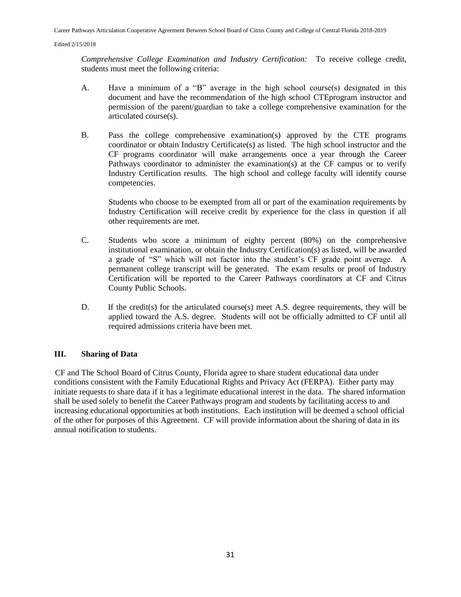*Comprehensive College Examination and Industry Certification:* To receive college credit, students must meet the following criteria:

- A. Have a minimum of a "B" average in the high school course(s) designated in this document and have the recommendation of the high school CTEprogram instructor and permission of the parent/guardian to take a college comprehensive examination for the articulated course(s).
- B. Pass the college comprehensive examination(s) approved by the CTE programs coordinator or obtain Industry Certificate(s) as listed. The high school instructor and the CF programs coordinator will make arrangements once a year through the Career Pathways coordinator to administer the examination(s) at the CF campus or to verify Industry Certification results. The high school and college faculty will identify course competencies.

Students who choose to be exempted from all or part of the examination requirements by Industry Certification will receive credit by experience for the class in question if all other requirements are met.

- C. Students who score a minimum of eighty percent (80%) on the comprehensive institutional examination, or obtain the Industry Certification(s) as listed, will be awarded a grade of "S" which will not factor into the student's CF grade point average. A permanent college transcript will be generated. The exam results or proof of Industry Certification will be reported to the Career Pathways coordinators at CF and Citrus County Public Schools.
- D. If the credit(s) for the articulated course(s) meet A.S. degree requirements, they will be applied toward the A.S. degree. Students will not be officially admitted to CF until all required admissions criteria have been met.

#### **III. Sharing of Data**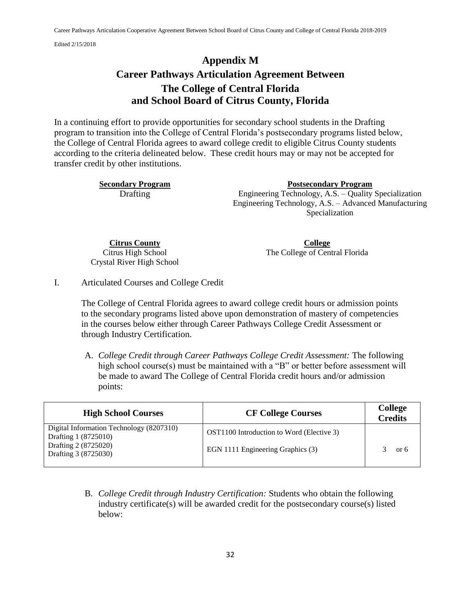# **Appendix M Career Pathways Articulation Agreement Between The College of Central Florida and School Board of Citrus County, Florida**

In a continuing effort to provide opportunities for secondary school students in the Drafting program to transition into the College of Central Florida's postsecondary programs listed below, the College of Central Florida agrees to award college credit to eligible Citrus County students according to the criteria delineated below. These credit hours may or may not be accepted for transfer credit by other institutions.

**Secondary Program Postsecondary Program**  Drafting Engineering Technology, A.S. – Quality Specialization Engineering Technology, A.S. – Advanced Manufacturing Specialization

**Citrus County** Citrus High School Crystal River High School

**College** The College of Central Florida

I. Articulated Courses and College Credit

The College of Central Florida agrees to award college credit hours or admission points to the secondary programs listed above upon demonstration of mastery of competencies in the courses below either through Career Pathways College Credit Assessment or through Industry Certification.

A. *College Credit through Career Pathways College Credit Assessment:* The following high school course(s) must be maintained with a "B" or better before assessment will be made to award The College of Central Florida credit hours and/or admission points:

| <b>High School Courses</b>                                                                                       | <b>CF College Courses</b>                                                      | <b>College</b><br><b>Credits</b> |
|------------------------------------------------------------------------------------------------------------------|--------------------------------------------------------------------------------|----------------------------------|
| Digital Information Technology (8207310)<br>Drafting 1 (8725010)<br>Drafting 2 (8725020)<br>Drafting 3 (8725030) | OST1100 Introduction to Word (Elective 3)<br>EGN 1111 Engineering Graphics (3) | or 6                             |

B. *College Credit through Industry Certification:* Students who obtain the following industry certificate(s) will be awarded credit for the postsecondary course(s) listed below: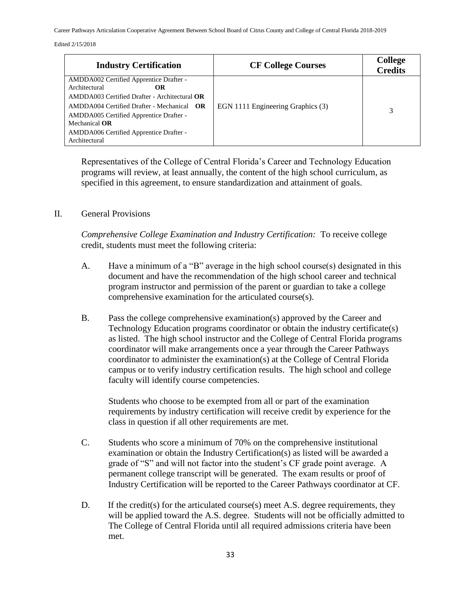Career Pathways Articulation Cooperative Agreement Between School Board of Citrus County and College of Central Florida 2018-2019

#### Edited 2/15/2018

| <b>Industry Certification</b>                                                                                                                                                                                                                                                                 | <b>CF College Courses</b>         | <b>College</b><br><b>Credits</b> |
|-----------------------------------------------------------------------------------------------------------------------------------------------------------------------------------------------------------------------------------------------------------------------------------------------|-----------------------------------|----------------------------------|
| AMDDA002 Certified Apprentice Drafter -<br>Architectural<br>ОR<br>$AMDDA003$ Certified Drafter - Architectural $OR$<br>$AMDDA004$ Certified Drafter - Mechanical $OR$<br>AMDDA005 Certified Apprentice Drafter -<br>Mechanical OR<br>AMDDA006 Certified Apprentice Drafter -<br>Architectural | EGN 1111 Engineering Graphics (3) |                                  |

Representatives of the College of Central Florida's Career and Technology Education programs will review, at least annually, the content of the high school curriculum, as specified in this agreement, to ensure standardization and attainment of goals.

### II. General Provisions

*Comprehensive College Examination and Industry Certification:* To receive college credit, students must meet the following criteria:

- A. Have a minimum of a "B" average in the high school course(s) designated in this document and have the recommendation of the high school career and technical program instructor and permission of the parent or guardian to take a college comprehensive examination for the articulated course(s).
- B. Pass the college comprehensive examination(s) approved by the Career and Technology Education programs coordinator or obtain the industry certificate(s) as listed. The high school instructor and the College of Central Florida programs coordinator will make arrangements once a year through the Career Pathways coordinator to administer the examination(s) at the College of Central Florida campus or to verify industry certification results. The high school and college faculty will identify course competencies.

Students who choose to be exempted from all or part of the examination requirements by industry certification will receive credit by experience for the class in question if all other requirements are met.

- C. Students who score a minimum of 70% on the comprehensive institutional examination or obtain the Industry Certification(s) as listed will be awarded a grade of "S" and will not factor into the student's CF grade point average. A permanent college transcript will be generated. The exam results or proof of Industry Certification will be reported to the Career Pathways coordinator at CF.
- D. If the credit(s) for the articulated course(s) meet A.S. degree requirements, they will be applied toward the A.S. degree. Students will not be officially admitted to The College of Central Florida until all required admissions criteria have been met.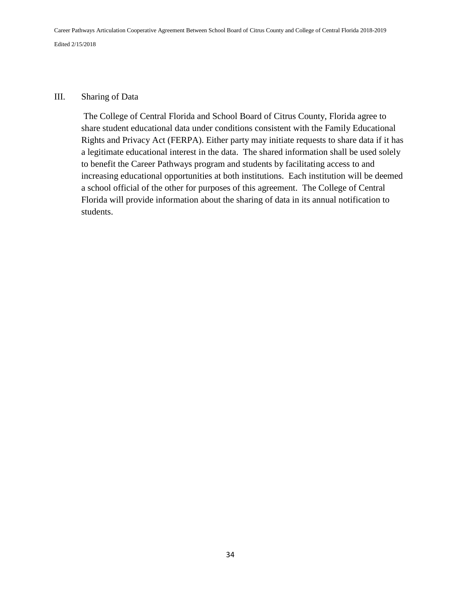### III. Sharing of Data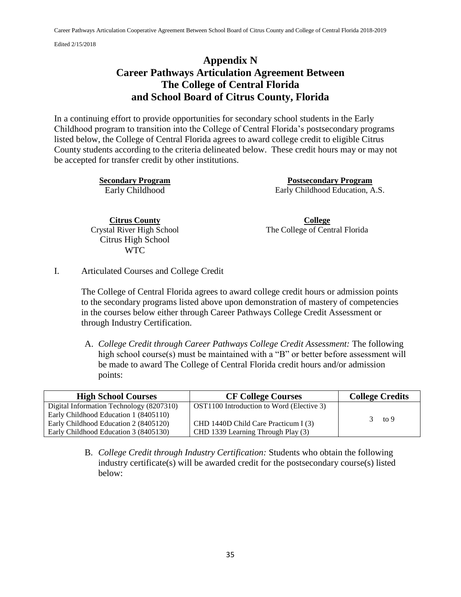# **Appendix N Career Pathways Articulation Agreement Between The College of Central Florida and School Board of Citrus County, Florida**

In a continuing effort to provide opportunities for secondary school students in the Early Childhood program to transition into the College of Central Florida's postsecondary programs listed below, the College of Central Florida agrees to award college credit to eligible Citrus County students according to the criteria delineated below. These credit hours may or may not be accepted for transfer credit by other institutions.

**Secondary Program Postsecondary Program**  Early Childhood Education, A.S.

**Citrus County** Crystal River High School Citrus High School WTC

**College** The College of Central Florida

I. Articulated Courses and College Credit

The College of Central Florida agrees to award college credit hours or admission points to the secondary programs listed above upon demonstration of mastery of competencies in the courses below either through Career Pathways College Credit Assessment or through Industry Certification.

A. *College Credit through Career Pathways College Credit Assessment:* The following high school course(s) must be maintained with a "B" or better before assessment will be made to award The College of Central Florida credit hours and/or admission points:

| <b>High School Courses</b>               | <b>CF College Courses</b>                 | <b>College Credits</b> |
|------------------------------------------|-------------------------------------------|------------------------|
| Digital Information Technology (8207310) | OST1100 Introduction to Word (Elective 3) |                        |
| Early Childhood Education 1 (8405110)    |                                           | to 9                   |
| Early Childhood Education 2 (8405120)    | CHD 1440D Child Care Practicum I (3)      |                        |
| Early Childhood Education 3 (8405130)    | CHD 1339 Learning Through Play (3)        |                        |

B. *College Credit through Industry Certification:* Students who obtain the following industry certificate(s) will be awarded credit for the postsecondary course(s) listed below: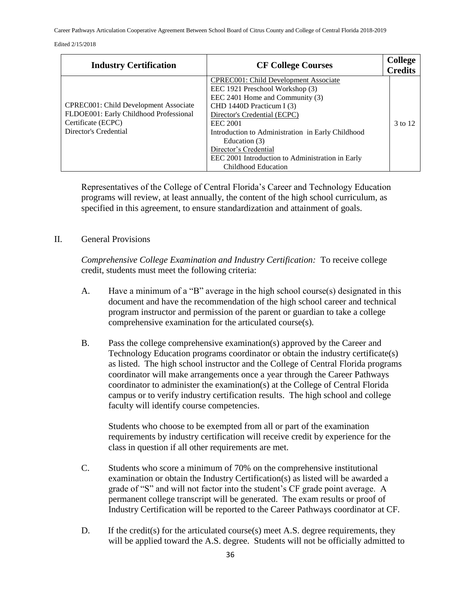Career Pathways Articulation Cooperative Agreement Between School Board of Citrus County and College of Central Florida 2018-2019

#### Edited 2/15/2018

| <b>Industry Certification</b>                                                                                                  | <b>CF College Courses</b>                                                                                                                                                                                                                                                                                                                                             | <b>College</b><br><b>Credits</b> |
|--------------------------------------------------------------------------------------------------------------------------------|-----------------------------------------------------------------------------------------------------------------------------------------------------------------------------------------------------------------------------------------------------------------------------------------------------------------------------------------------------------------------|----------------------------------|
| CPREC001: Child Development Associate<br>FLDOE001: Early Childhood Professional<br>Certificate (ECPC)<br>Director's Credential | CPREC001: Child Development Associate<br>EEC 1921 Preschool Workshop (3)<br>EEC 2401 Home and Community (3)<br>CHD 1440D Practicum I (3)<br>Director's Credential (ECPC)<br><b>EEC 2001</b><br>Introduction to Administration in Early Childhood<br>Education (3)<br>Director's Credential<br>EEC 2001 Introduction to Administration in Early<br>Childhood Education | 3 to 12                          |

Representatives of the College of Central Florida's Career and Technology Education programs will review, at least annually, the content of the high school curriculum, as specified in this agreement, to ensure standardization and attainment of goals.

#### II. General Provisions

*Comprehensive College Examination and Industry Certification:* To receive college credit, students must meet the following criteria:

- A. Have a minimum of a "B" average in the high school course(s) designated in this document and have the recommendation of the high school career and technical program instructor and permission of the parent or guardian to take a college comprehensive examination for the articulated course(s).
- B. Pass the college comprehensive examination(s) approved by the Career and Technology Education programs coordinator or obtain the industry certificate(s) as listed. The high school instructor and the College of Central Florida programs coordinator will make arrangements once a year through the Career Pathways coordinator to administer the examination(s) at the College of Central Florida campus or to verify industry certification results. The high school and college faculty will identify course competencies.

Students who choose to be exempted from all or part of the examination requirements by industry certification will receive credit by experience for the class in question if all other requirements are met.

- C. Students who score a minimum of 70% on the comprehensive institutional examination or obtain the Industry Certification(s) as listed will be awarded a grade of "S" and will not factor into the student's CF grade point average. A permanent college transcript will be generated. The exam results or proof of Industry Certification will be reported to the Career Pathways coordinator at CF.
- D. If the credit(s) for the articulated course(s) meet A.S. degree requirements, they will be applied toward the A.S. degree. Students will not be officially admitted to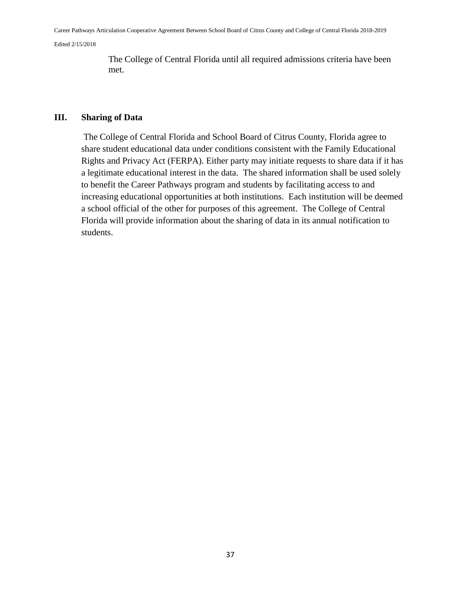The College of Central Florida until all required admissions criteria have been met.

### **III. Sharing of Data**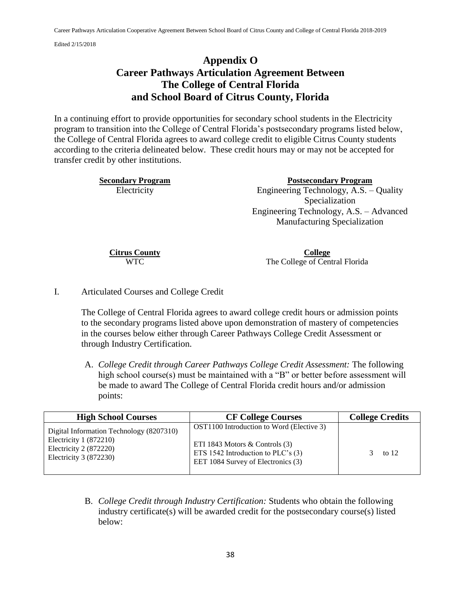# **Appendix O Career Pathways Articulation Agreement Between The College of Central Florida and School Board of Citrus County, Florida**

In a continuing effort to provide opportunities for secondary school students in the Electricity program to transition into the College of Central Florida's postsecondary programs listed below, the College of Central Florida agrees to award college credit to eligible Citrus County students according to the criteria delineated below. These credit hours may or may not be accepted for transfer credit by other institutions.

**Secondary Program 2018 Postsecondary Program 2018** Electricity Engineering Technology, A.S. – Quality Specialization Engineering Technology, A.S. – Advanced Manufacturing Specialization

**Citrus County** WTC

**College** The College of Central Florida

I. Articulated Courses and College Credit

The College of Central Florida agrees to award college credit hours or admission points to the secondary programs listed above upon demonstration of mastery of competencies in the courses below either through Career Pathways College Credit Assessment or through Industry Certification.

A. *College Credit through Career Pathways College Credit Assessment:* The following high school course(s) must be maintained with a "B" or better before assessment will be made to award The College of Central Florida credit hours and/or admission points:

| <b>High School Courses</b>                                                                                               | <b>CF College Courses</b>                                                                                                                                    | <b>College Credits</b> |
|--------------------------------------------------------------------------------------------------------------------------|--------------------------------------------------------------------------------------------------------------------------------------------------------------|------------------------|
| Digital Information Technology (8207310)<br>Electricity $1(872210)$<br>Electricity $2(872220)$<br>Electricity 3 (872230) | OST1100 Introduction to Word (Elective 3)<br>ETI 1843 Motors $\&$ Controls (3)<br>ETS 1542 Introduction to PLC's $(3)$<br>EET 1084 Survey of Electronics (3) | to $12$                |
|                                                                                                                          |                                                                                                                                                              |                        |

B. *College Credit through Industry Certification:* Students who obtain the following industry certificate(s) will be awarded credit for the postsecondary course(s) listed below: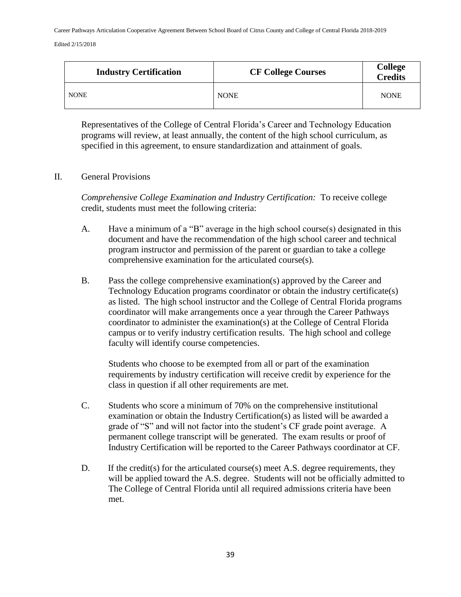| <b>Industry Certification</b> | <b>CF College Courses</b> | <b>College</b><br>Credits |
|-------------------------------|---------------------------|---------------------------|
| <b>NONE</b>                   | <b>NONE</b>               | <b>NONE</b>               |

Representatives of the College of Central Florida's Career and Technology Education programs will review, at least annually, the content of the high school curriculum, as specified in this agreement, to ensure standardization and attainment of goals.

#### II. General Provisions

*Comprehensive College Examination and Industry Certification:* To receive college credit, students must meet the following criteria:

- A. Have a minimum of a "B" average in the high school course(s) designated in this document and have the recommendation of the high school career and technical program instructor and permission of the parent or guardian to take a college comprehensive examination for the articulated course(s).
- B. Pass the college comprehensive examination(s) approved by the Career and Technology Education programs coordinator or obtain the industry certificate(s) as listed. The high school instructor and the College of Central Florida programs coordinator will make arrangements once a year through the Career Pathways coordinator to administer the examination(s) at the College of Central Florida campus or to verify industry certification results. The high school and college faculty will identify course competencies.

Students who choose to be exempted from all or part of the examination requirements by industry certification will receive credit by experience for the class in question if all other requirements are met.

- C. Students who score a minimum of 70% on the comprehensive institutional examination or obtain the Industry Certification(s) as listed will be awarded a grade of "S" and will not factor into the student's CF grade point average. A permanent college transcript will be generated. The exam results or proof of Industry Certification will be reported to the Career Pathways coordinator at CF.
- D. If the credit(s) for the articulated course(s) meet A.S. degree requirements, they will be applied toward the A.S. degree. Students will not be officially admitted to The College of Central Florida until all required admissions criteria have been met.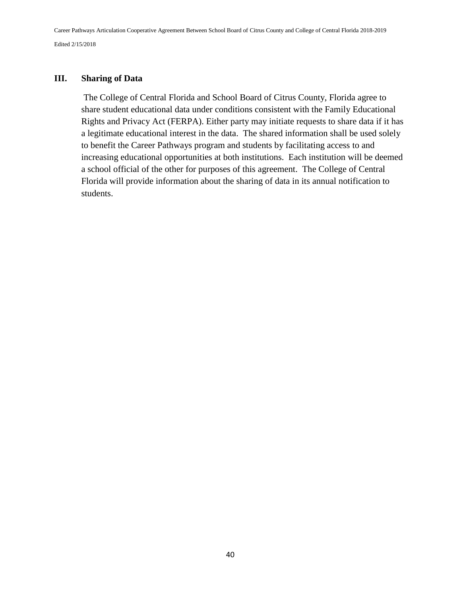### **III. Sharing of Data**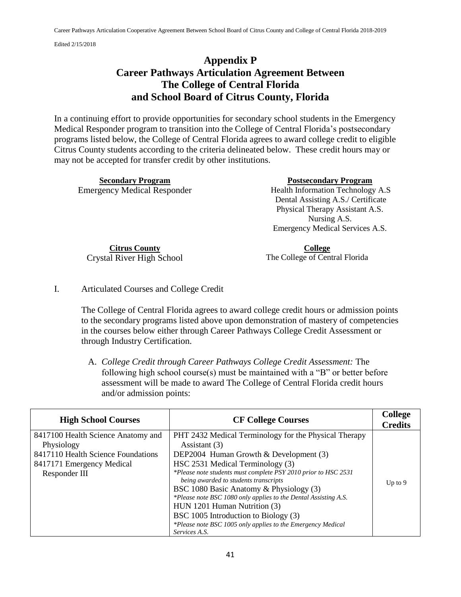# **Appendix P Career Pathways Articulation Agreement Between The College of Central Florida and School Board of Citrus County, Florida**

In a continuing effort to provide opportunities for secondary school students in the Emergency Medical Responder program to transition into the College of Central Florida's postsecondary programs listed below, the College of Central Florida agrees to award college credit to eligible Citrus County students according to the criteria delineated below. These credit hours may or may not be accepted for transfer credit by other institutions.

| <b>Postsecondary Program</b>       |
|------------------------------------|
| Health Information Technology A.S  |
| Dental Assisting A.S./ Certificate |
| Physical Therapy Assistant A.S.    |
| Nursing A.S.                       |
| Emergency Medical Services A.S.    |
|                                    |
|                                    |

**Citrus County** Crystal River High School

**College** The College of Central Florida

I. Articulated Courses and College Credit

The College of Central Florida agrees to award college credit hours or admission points to the secondary programs listed above upon demonstration of mastery of competencies in the courses below either through Career Pathways College Credit Assessment or through Industry Certification.

A. *College Credit through Career Pathways College Credit Assessment:* The following high school course(s) must be maintained with a "B" or better before assessment will be made to award The College of Central Florida credit hours and/or admission points:

| <b>High School Courses</b>                                                                                                           | <b>CF College Courses</b>                                                                                                                                                                                                                                                                                                                                                                                                                                                                                               | <b>College</b><br><b>Credits</b> |
|--------------------------------------------------------------------------------------------------------------------------------------|-------------------------------------------------------------------------------------------------------------------------------------------------------------------------------------------------------------------------------------------------------------------------------------------------------------------------------------------------------------------------------------------------------------------------------------------------------------------------------------------------------------------------|----------------------------------|
| 8417100 Health Science Anatomy and<br>Physiology<br>8417110 Health Science Foundations<br>8417171 Emergency Medical<br>Responder III | PHT 2432 Medical Terminology for the Physical Therapy<br>Assistant $(3)$<br>DEP2004 Human Growth $& Development(3)$<br>HSC 2531 Medical Terminology (3)<br>*Please note students must complete PSY 2010 prior to HSC 2531<br>being awarded to students transcripts<br>BSC 1080 Basic Anatomy & Physiology (3)<br>*Please note BSC 1080 only applies to the Dental Assisting A.S.<br>HUN 1201 Human Nutrition (3)<br>BSC 1005 Introduction to Biology (3)<br>*Please note BSC 1005 only applies to the Emergency Medical | Up to $9$                        |
|                                                                                                                                      | Services A.S.                                                                                                                                                                                                                                                                                                                                                                                                                                                                                                           |                                  |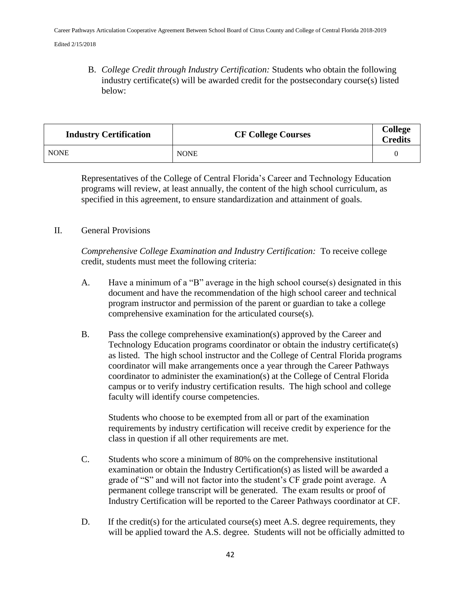B. *College Credit through Industry Certification:* Students who obtain the following industry certificate(s) will be awarded credit for the postsecondary course(s) listed below:

| <b>Industry Certification</b> | <b>CF College Courses</b> | <b>College</b><br><b>Credits</b> |
|-------------------------------|---------------------------|----------------------------------|
| <b>NONE</b>                   | <b>NONE</b>               |                                  |

Representatives of the College of Central Florida's Career and Technology Education programs will review, at least annually, the content of the high school curriculum, as specified in this agreement, to ensure standardization and attainment of goals.

### II. General Provisions

*Comprehensive College Examination and Industry Certification:* To receive college credit, students must meet the following criteria:

- A. Have a minimum of a "B" average in the high school course(s) designated in this document and have the recommendation of the high school career and technical program instructor and permission of the parent or guardian to take a college comprehensive examination for the articulated course(s).
- B. Pass the college comprehensive examination(s) approved by the Career and Technology Education programs coordinator or obtain the industry certificate(s) as listed. The high school instructor and the College of Central Florida programs coordinator will make arrangements once a year through the Career Pathways coordinator to administer the examination(s) at the College of Central Florida campus or to verify industry certification results. The high school and college faculty will identify course competencies.

Students who choose to be exempted from all or part of the examination requirements by industry certification will receive credit by experience for the class in question if all other requirements are met.

- C. Students who score a minimum of 80% on the comprehensive institutional examination or obtain the Industry Certification(s) as listed will be awarded a grade of "S" and will not factor into the student's CF grade point average. A permanent college transcript will be generated. The exam results or proof of Industry Certification will be reported to the Career Pathways coordinator at CF.
- D. If the credit(s) for the articulated course(s) meet A.S. degree requirements, they will be applied toward the A.S. degree. Students will not be officially admitted to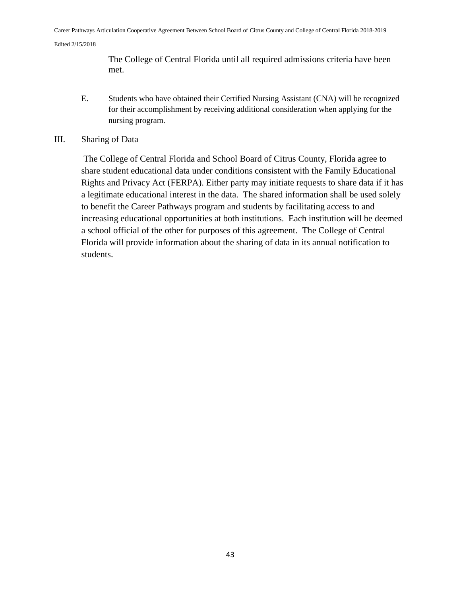The College of Central Florida until all required admissions criteria have been met.

- E. Students who have obtained their Certified Nursing Assistant (CNA) will be recognized for their accomplishment by receiving additional consideration when applying for the nursing program.
- III. Sharing of Data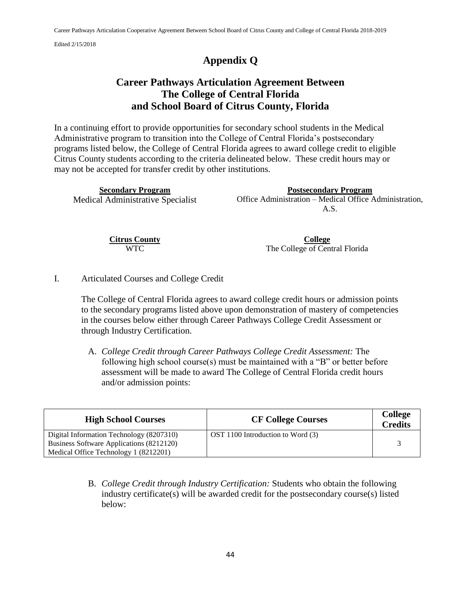# **Appendix Q**

# **Career Pathways Articulation Agreement Between The College of Central Florida and School Board of Citrus County, Florida**

In a continuing effort to provide opportunities for secondary school students in the Medical Administrative program to transition into the College of Central Florida's postsecondary programs listed below, the College of Central Florida agrees to award college credit to eligible Citrus County students according to the criteria delineated below. These credit hours may or may not be accepted for transfer credit by other institutions.

| <b>Secondary Program</b>          | <b>Postsecondary Program</b>                           |
|-----------------------------------|--------------------------------------------------------|
| Medical Administrative Specialist | Office Administration – Medical Office Administration, |
|                                   | A.S.                                                   |

**Citrus County** WTC

**College** The College of Central Florida

I. Articulated Courses and College Credit

The College of Central Florida agrees to award college credit hours or admission points to the secondary programs listed above upon demonstration of mastery of competencies in the courses below either through Career Pathways College Credit Assessment or through Industry Certification.

A. *College Credit through Career Pathways College Credit Assessment:* The following high school course(s) must be maintained with a "B" or better before assessment will be made to award The College of Central Florida credit hours and/or admission points:

| <b>High School Courses</b>               | <b>CF College Courses</b>         | <b>College</b><br><b>Credits</b> |
|------------------------------------------|-----------------------------------|----------------------------------|
| Digital Information Technology (8207310) | OST 1100 Introduction to Word (3) |                                  |
| Business Software Applications (8212120) |                                   |                                  |
| Medical Office Technology 1 (8212201)    |                                   |                                  |

B. *College Credit through Industry Certification:* Students who obtain the following industry certificate(s) will be awarded credit for the postsecondary course(s) listed below: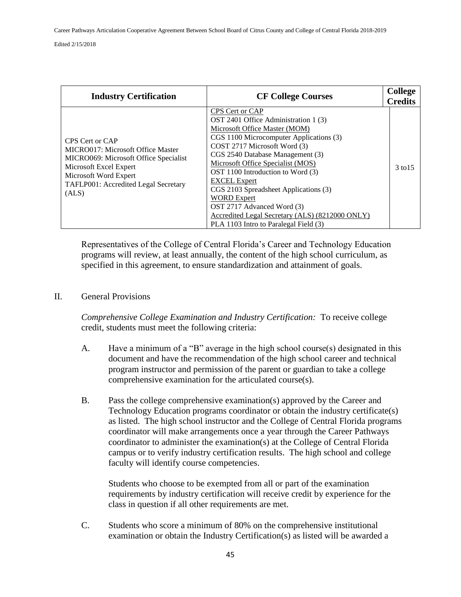| <b>Industry Certification</b>                                                                                                                                                                     | <b>CF College Courses</b>                                                                                                                                                                                                                                                                                                                                                                                                                                                                         | <b>College</b><br><b>Credits</b> |
|---------------------------------------------------------------------------------------------------------------------------------------------------------------------------------------------------|---------------------------------------------------------------------------------------------------------------------------------------------------------------------------------------------------------------------------------------------------------------------------------------------------------------------------------------------------------------------------------------------------------------------------------------------------------------------------------------------------|----------------------------------|
| CPS Cert or CAP<br>MICRO017: Microsoft Office Master<br>MICRO069: Microsoft Office Specialist<br>Microsoft Excel Expert<br>Microsoft Word Expert<br>TAFLP001: Accredited Legal Secretary<br>(ALS) | CPS Cert or CAP<br>OST 2401 Office Administration 1 (3)<br>Microsoft Office Master (MOM)<br>CGS 1100 Microcomputer Applications (3)<br>COST 2717 Microsoft Word (3)<br>CGS 2540 Database Management (3)<br>Microsoft Office Specialist (MOS)<br>OST 1100 Introduction to Word (3)<br><b>EXCEL Expert</b><br>CGS 2103 Spreadsheet Applications (3)<br><b>WORD Expert</b><br>OST 2717 Advanced Word (3)<br>Accredited Legal Secretary (ALS) (8212000 ONLY)<br>PLA 1103 Intro to Paralegal Field (3) | 3 to 15                          |

Representatives of the College of Central Florida's Career and Technology Education programs will review, at least annually, the content of the high school curriculum, as specified in this agreement, to ensure standardization and attainment of goals.

#### II. General Provisions

*Comprehensive College Examination and Industry Certification:* To receive college credit, students must meet the following criteria:

- A. Have a minimum of a "B" average in the high school course(s) designated in this document and have the recommendation of the high school career and technical program instructor and permission of the parent or guardian to take a college comprehensive examination for the articulated course(s).
- B. Pass the college comprehensive examination(s) approved by the Career and Technology Education programs coordinator or obtain the industry certificate(s) as listed. The high school instructor and the College of Central Florida programs coordinator will make arrangements once a year through the Career Pathways coordinator to administer the examination(s) at the College of Central Florida campus or to verify industry certification results. The high school and college faculty will identify course competencies.

Students who choose to be exempted from all or part of the examination requirements by industry certification will receive credit by experience for the class in question if all other requirements are met.

C. Students who score a minimum of 80% on the comprehensive institutional examination or obtain the Industry Certification(s) as listed will be awarded a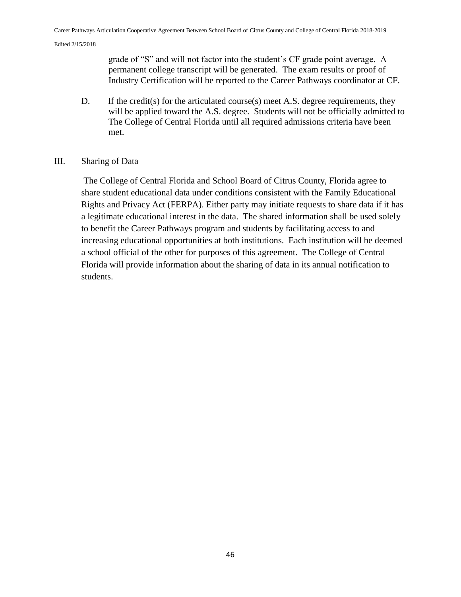grade of "S" and will not factor into the student's CF grade point average. A permanent college transcript will be generated. The exam results or proof of Industry Certification will be reported to the Career Pathways coordinator at CF.

D. If the credit(s) for the articulated course(s) meet A.S. degree requirements, they will be applied toward the A.S. degree. Students will not be officially admitted to The College of Central Florida until all required admissions criteria have been met.

### III. Sharing of Data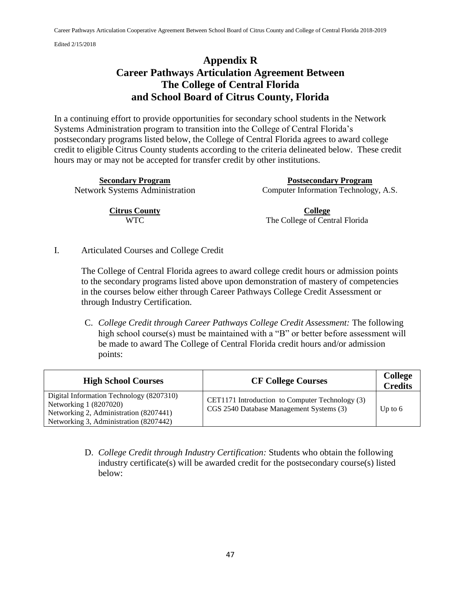## **Appendix R Career Pathways Articulation Agreement Between The College of Central Florida and School Board of Citrus County, Florida**

In a continuing effort to provide opportunities for secondary school students in the Network Systems Administration program to transition into the College of Central Florida's postsecondary programs listed below, the College of Central Florida agrees to award college credit to eligible Citrus County students according to the criteria delineated below. These credit hours may or may not be accepted for transfer credit by other institutions.

**Secondary Program Postsecondary Program**  Network Systems Administration Computer Information Technology, A.S.

> **Citrus County** WTC

**College** The College of Central Florida

I. Articulated Courses and College Credit

The College of Central Florida agrees to award college credit hours or admission points to the secondary programs listed above upon demonstration of mastery of competencies in the courses below either through Career Pathways College Credit Assessment or through Industry Certification.

C. *College Credit through Career Pathways College Credit Assessment:* The following high school course(s) must be maintained with a "B" or better before assessment will be made to award The College of Central Florida credit hours and/or admission points:

| <b>High School Courses</b>                                                                                                                             | <b>CF College Courses</b>                                                                   | <b>College</b><br><b>Credits</b> |
|--------------------------------------------------------------------------------------------------------------------------------------------------------|---------------------------------------------------------------------------------------------|----------------------------------|
| Digital Information Technology (8207310)<br>Networking 1 (8207020)<br>Networking 2, Administration (8207441)<br>Networking 3, Administration (8207442) | CET1171 Introduction to Computer Technology (3)<br>CGS 2540 Database Management Systems (3) | Up to $6$                        |

D. *College Credit through Industry Certification:* Students who obtain the following industry certificate(s) will be awarded credit for the postsecondary course(s) listed below: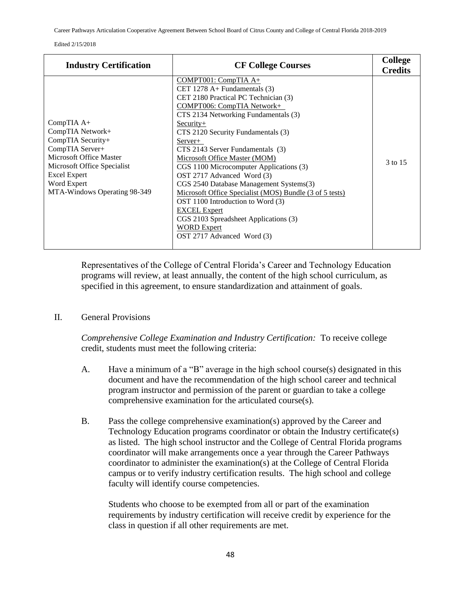Career Pathways Articulation Cooperative Agreement Between School Board of Citrus County and College of Central Florida 2018-2019

| <b>Industry Certification</b>                                                                                                                                                                          | <b>CF College Courses</b>                                                                                                                                                                                                                                                                                                                                                                                                                                                                                                                                                                                                                         | <b>College</b><br><b>Credits</b> |
|--------------------------------------------------------------------------------------------------------------------------------------------------------------------------------------------------------|---------------------------------------------------------------------------------------------------------------------------------------------------------------------------------------------------------------------------------------------------------------------------------------------------------------------------------------------------------------------------------------------------------------------------------------------------------------------------------------------------------------------------------------------------------------------------------------------------------------------------------------------------|----------------------------------|
| CompTIA A+<br>CompTIA Network+<br>CompTIA Security+<br>CompTIA Server+<br>Microsoft Office Master<br>Microsoft Office Specialist<br><b>Excel Expert</b><br>Word Expert<br>MTA-Windows Operating 98-349 | COMPT001: CompTIA A+<br>CET 1278 $A+$ Fundamentals (3)<br>CET 2180 Practical PC Technician (3)<br>COMPT006: CompTIA Network+<br>CTS 2134 Networking Fundamentals (3)<br>$Security+$<br>CTS 2120 Security Fundamentals (3)<br>Server+<br>CTS 2143 Server Fundamentals (3)<br>Microsoft Office Master (MOM)<br>CGS 1100 Microcomputer Applications (3)<br>OST 2717 Advanced Word (3)<br>CGS 2540 Database Management Systems(3)<br>Microsoft Office Specialist (MOS) Bundle (3 of 5 tests)<br>OST 1100 Introduction to Word (3)<br><b>EXCEL</b> Expert<br>CGS 2103 Spreadsheet Applications (3)<br><b>WORD Expert</b><br>OST 2717 Advanced Word (3) | 3 to 15                          |

Representatives of the College of Central Florida's Career and Technology Education programs will review, at least annually, the content of the high school curriculum, as specified in this agreement, to ensure standardization and attainment of goals.

II. General Provisions

*Comprehensive College Examination and Industry Certification:* To receive college credit, students must meet the following criteria:

- A. Have a minimum of a "B" average in the high school course(s) designated in this document and have the recommendation of the high school career and technical program instructor and permission of the parent or guardian to take a college comprehensive examination for the articulated course(s).
- B. Pass the college comprehensive examination(s) approved by the Career and Technology Education programs coordinator or obtain the Industry certificate(s) as listed. The high school instructor and the College of Central Florida programs coordinator will make arrangements once a year through the Career Pathways coordinator to administer the examination(s) at the College of Central Florida campus or to verify industry certification results. The high school and college faculty will identify course competencies.

Students who choose to be exempted from all or part of the examination requirements by industry certification will receive credit by experience for the class in question if all other requirements are met.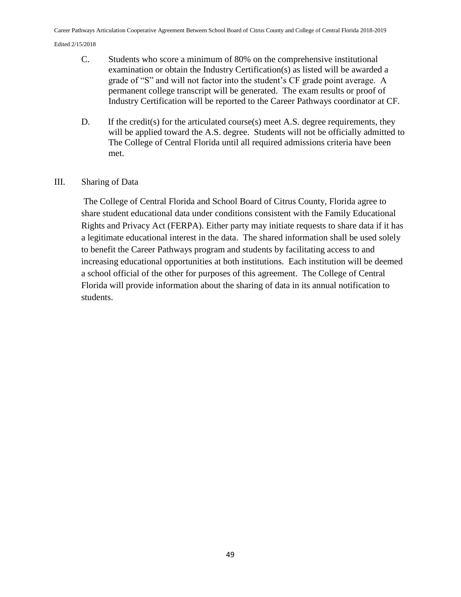- C. Students who score a minimum of 80% on the comprehensive institutional examination or obtain the Industry Certification(s) as listed will be awarded a grade of "S" and will not factor into the student's CF grade point average. A permanent college transcript will be generated. The exam results or proof of Industry Certification will be reported to the Career Pathways coordinator at CF.
- D. If the credit(s) for the articulated course(s) meet A.S. degree requirements, they will be applied toward the A.S. degree. Students will not be officially admitted to The College of Central Florida until all required admissions criteria have been met.

### III. Sharing of Data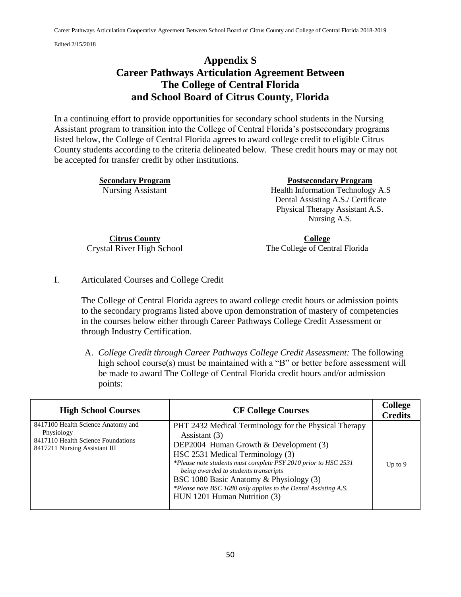# **Appendix S Career Pathways Articulation Agreement Between The College of Central Florida and School Board of Citrus County, Florida**

In a continuing effort to provide opportunities for secondary school students in the Nursing Assistant program to transition into the College of Central Florida's postsecondary programs listed below, the College of Central Florida agrees to award college credit to eligible Citrus County students according to the criteria delineated below. These credit hours may or may not be accepted for transfer credit by other institutions.

**Secondary Program 2018 Postsecondary Program 2019** Nursing Assistant Health Information Technology A.S Dental Assisting A.S./ Certificate Physical Therapy Assistant A.S. Nursing A.S.

**Citrus County** Crystal River High School

**College** The College of Central Florida

I. Articulated Courses and College Credit

The College of Central Florida agrees to award college credit hours or admission points to the secondary programs listed above upon demonstration of mastery of competencies in the courses below either through Career Pathways College Credit Assessment or through Industry Certification.

A. *College Credit through Career Pathways College Credit Assessment:* The following high school course(s) must be maintained with a "B" or better before assessment will be made to award The College of Central Florida credit hours and/or admission points:

| <b>High School Courses</b>                                                                                              | <b>CF College Courses</b>                                                                                                                                                                                                                                                                                                                                                                                     | <b>College</b><br><b>Credits</b> |
|-------------------------------------------------------------------------------------------------------------------------|---------------------------------------------------------------------------------------------------------------------------------------------------------------------------------------------------------------------------------------------------------------------------------------------------------------------------------------------------------------------------------------------------------------|----------------------------------|
| 8417100 Health Science Anatomy and<br>Physiology<br>8417110 Health Science Foundations<br>8417211 Nursing Assistant III | PHT 2432 Medical Terminology for the Physical Therapy<br>Assistant (3)<br>DEP2004 Human Growth & Development (3)<br>HSC 2531 Medical Terminology (3)<br>*Please note students must complete PSY 2010 prior to HSC 2531<br>being awarded to students transcripts<br>BSC 1080 Basic Anatomy & Physiology (3)<br>*Please note BSC 1080 only applies to the Dental Assisting A.S.<br>HUN 1201 Human Nutrition (3) | Up to $9$                        |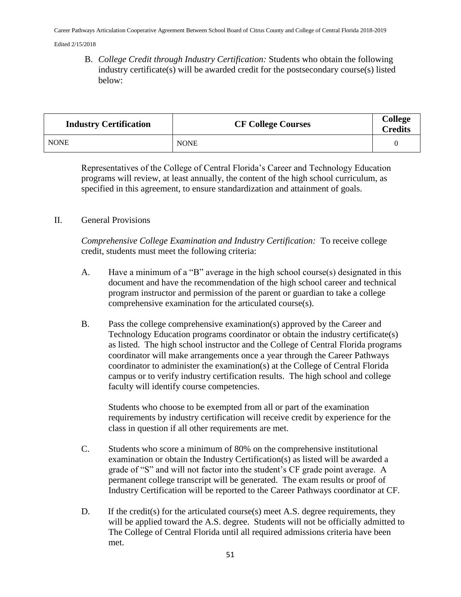B. *College Credit through Industry Certification:* Students who obtain the following industry certificate(s) will be awarded credit for the postsecondary course(s) listed below:

| <b>Industry Certification</b> | <b>CF College Courses</b> | <b>College</b><br><b>Credits</b> |
|-------------------------------|---------------------------|----------------------------------|
| <b>NONE</b>                   | <b>NONE</b>               |                                  |

Representatives of the College of Central Florida's Career and Technology Education programs will review, at least annually, the content of the high school curriculum, as specified in this agreement, to ensure standardization and attainment of goals.

### II. General Provisions

*Comprehensive College Examination and Industry Certification:* To receive college credit, students must meet the following criteria:

- A. Have a minimum of a "B" average in the high school course(s) designated in this document and have the recommendation of the high school career and technical program instructor and permission of the parent or guardian to take a college comprehensive examination for the articulated course(s).
- B. Pass the college comprehensive examination(s) approved by the Career and Technology Education programs coordinator or obtain the industry certificate(s) as listed. The high school instructor and the College of Central Florida programs coordinator will make arrangements once a year through the Career Pathways coordinator to administer the examination(s) at the College of Central Florida campus or to verify industry certification results. The high school and college faculty will identify course competencies.

Students who choose to be exempted from all or part of the examination requirements by industry certification will receive credit by experience for the class in question if all other requirements are met.

- C. Students who score a minimum of 80% on the comprehensive institutional examination or obtain the Industry Certification(s) as listed will be awarded a grade of "S" and will not factor into the student's CF grade point average. A permanent college transcript will be generated. The exam results or proof of Industry Certification will be reported to the Career Pathways coordinator at CF.
- D. If the credit(s) for the articulated course(s) meet A.S. degree requirements, they will be applied toward the A.S. degree. Students will not be officially admitted to The College of Central Florida until all required admissions criteria have been met.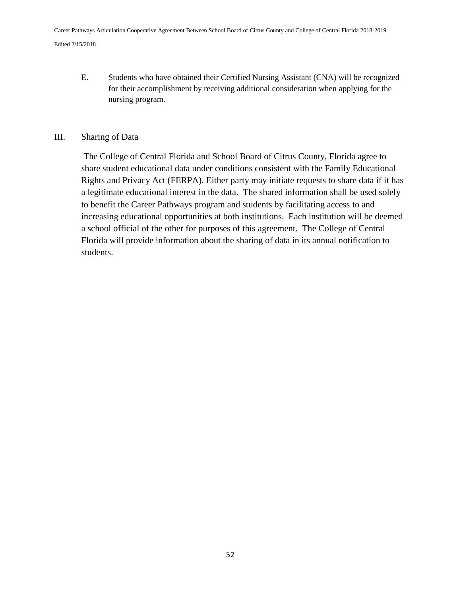E. Students who have obtained their Certified Nursing Assistant (CNA) will be recognized for their accomplishment by receiving additional consideration when applying for the nursing program.

### III. Sharing of Data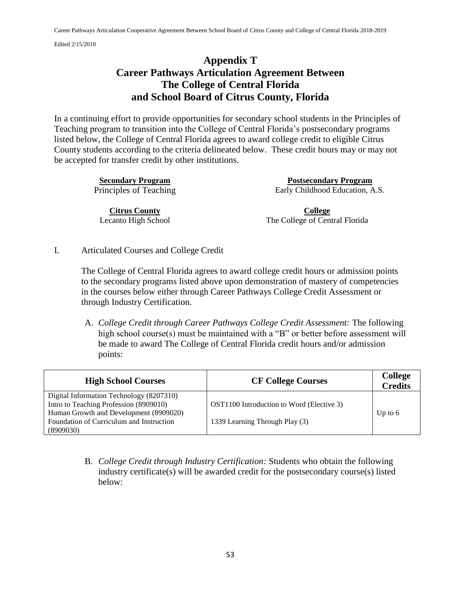# **Appendix T Career Pathways Articulation Agreement Between The College of Central Florida and School Board of Citrus County, Florida**

In a continuing effort to provide opportunities for secondary school students in the Principles of Teaching program to transition into the College of Central Florida's postsecondary programs listed below, the College of Central Florida agrees to award college credit to eligible Citrus County students according to the criteria delineated below. These credit hours may or may not be accepted for transfer credit by other institutions.

**Citrus County** Lecanto High School

**Secondary Program Postsecondary Program**  Principles of Teaching Early Childhood Education, A.S.

> **College** The College of Central Florida

I. Articulated Courses and College Credit

The College of Central Florida agrees to award college credit hours or admission points to the secondary programs listed above upon demonstration of mastery of competencies in the courses below either through Career Pathways College Credit Assessment or through Industry Certification.

A. *College Credit through Career Pathways College Credit Assessment:* The following high school course(s) must be maintained with a "B" or better before assessment will be made to award The College of Central Florida credit hours and/or admission points:

| OST1100 Introduction to Word (Elective 3)<br>1339 Learning Through Play (3) | Up to $6$ |
|-----------------------------------------------------------------------------|-----------|
|                                                                             |           |

B. *College Credit through Industry Certification:* Students who obtain the following industry certificate(s) will be awarded credit for the postsecondary course(s) listed below: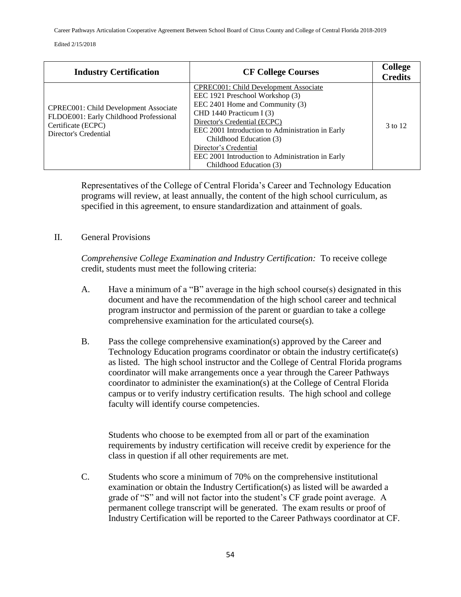Career Pathways Articulation Cooperative Agreement Between School Board of Citrus County and College of Central Florida 2018-2019

Edited 2/15/2018

| <b>Industry Certification</b>                                                                                                         | <b>CF College Courses</b>                                                                                                                                                                                                                                                                                                                                               | <b>College</b><br><b>Credits</b> |
|---------------------------------------------------------------------------------------------------------------------------------------|-------------------------------------------------------------------------------------------------------------------------------------------------------------------------------------------------------------------------------------------------------------------------------------------------------------------------------------------------------------------------|----------------------------------|
| <b>CPREC001: Child Development Associate</b><br>FLDOE001: Early Childhood Professional<br>Certificate (ECPC)<br>Director's Credential | <b>CPREC001: Child Development Associate</b><br>EEC 1921 Preschool Workshop (3)<br>EEC 2401 Home and Community (3)<br>CHD 1440 Practicum I $(3)$<br>Director's Credential (ECPC)<br>EEC 2001 Introduction to Administration in Early<br>Childhood Education (3)<br>Director's Credential<br>EEC 2001 Introduction to Administration in Early<br>Childhood Education (3) | 3 to 12                          |

Representatives of the College of Central Florida's Career and Technology Education programs will review, at least annually, the content of the high school curriculum, as specified in this agreement, to ensure standardization and attainment of goals.

### II. General Provisions

*Comprehensive College Examination and Industry Certification:* To receive college credit, students must meet the following criteria:

- A. Have a minimum of a "B" average in the high school course(s) designated in this document and have the recommendation of the high school career and technical program instructor and permission of the parent or guardian to take a college comprehensive examination for the articulated course(s).
- B. Pass the college comprehensive examination(s) approved by the Career and Technology Education programs coordinator or obtain the industry certificate(s) as listed. The high school instructor and the College of Central Florida programs coordinator will make arrangements once a year through the Career Pathways coordinator to administer the examination(s) at the College of Central Florida campus or to verify industry certification results. The high school and college faculty will identify course competencies.

Students who choose to be exempted from all or part of the examination requirements by industry certification will receive credit by experience for the class in question if all other requirements are met.

C. Students who score a minimum of 70% on the comprehensive institutional examination or obtain the Industry Certification(s) as listed will be awarded a grade of "S" and will not factor into the student's CF grade point average. A permanent college transcript will be generated. The exam results or proof of Industry Certification will be reported to the Career Pathways coordinator at CF.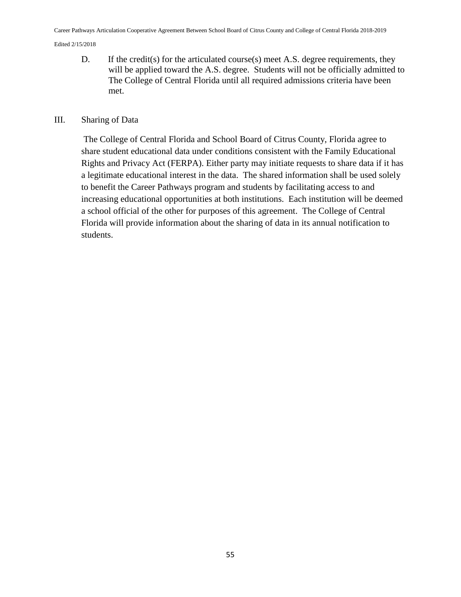D. If the credit(s) for the articulated course(s) meet A.S. degree requirements, they will be applied toward the A.S. degree. Students will not be officially admitted to The College of Central Florida until all required admissions criteria have been met.

#### III. Sharing of Data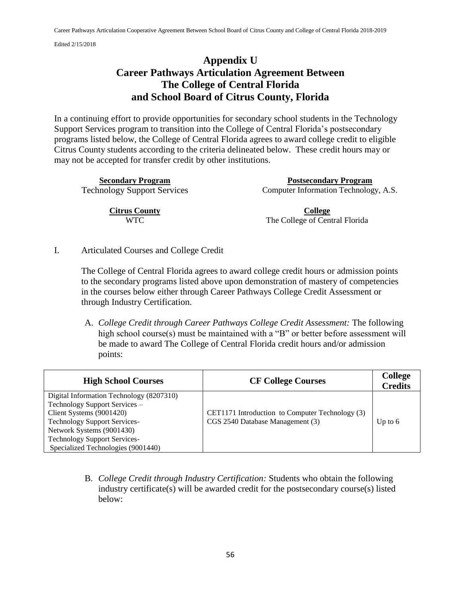# **Appendix U Career Pathways Articulation Agreement Between The College of Central Florida and School Board of Citrus County, Florida**

In a continuing effort to provide opportunities for secondary school students in the Technology Support Services program to transition into the College of Central Florida's postsecondary programs listed below, the College of Central Florida agrees to award college credit to eligible Citrus County students according to the criteria delineated below. These credit hours may or may not be accepted for transfer credit by other institutions.

**Secondary Program Postsecondary Program**  Technology Support Services Computer Information Technology, A.S.

**Citrus County** WTC

**College** The College of Central Florida

I. Articulated Courses and College Credit

The College of Central Florida agrees to award college credit hours or admission points to the secondary programs listed above upon demonstration of mastery of competencies in the courses below either through Career Pathways College Credit Assessment or through Industry Certification.

A. *College Credit through Career Pathways College Credit Assessment:* The following high school course(s) must be maintained with a "B" or better before assessment will be made to award The College of Central Florida credit hours and/or admission points:

| <b>High School Courses</b>                                                                                                                                                                                                                             | <b>CF College Courses</b>                                                           | <b>College</b><br><b>Credits</b> |
|--------------------------------------------------------------------------------------------------------------------------------------------------------------------------------------------------------------------------------------------------------|-------------------------------------------------------------------------------------|----------------------------------|
| Digital Information Technology (8207310)<br>Technology Support Services –<br>Client Systems (9001420)<br><b>Technology Support Services-</b><br>Network Systems (9001430)<br><b>Technology Support Services-</b><br>Specialized Technologies (9001440) | CET1171 Introduction to Computer Technology (3)<br>CGS 2540 Database Management (3) | Up to $6$                        |

B. *College Credit through Industry Certification:* Students who obtain the following industry certificate(s) will be awarded credit for the postsecondary course(s) listed below: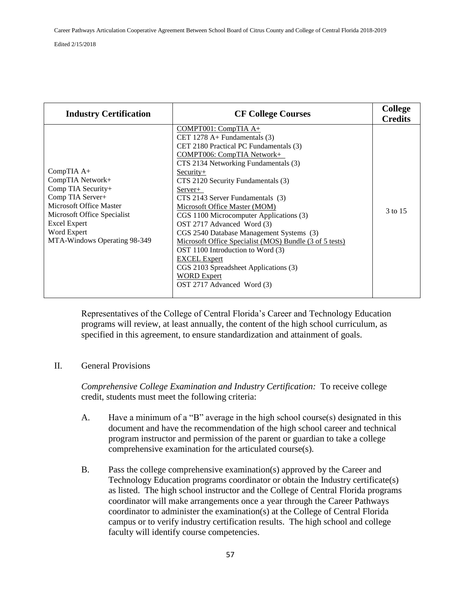| <b>Industry Certification</b>                                                                                                                                                                     | <b>CF College Courses</b>                                                                                                                                                                                                                                                                                                                                                                                                                                                                                                                                                                                                                                     | <b>College</b><br><b>Credits</b> |
|---------------------------------------------------------------------------------------------------------------------------------------------------------------------------------------------------|---------------------------------------------------------------------------------------------------------------------------------------------------------------------------------------------------------------------------------------------------------------------------------------------------------------------------------------------------------------------------------------------------------------------------------------------------------------------------------------------------------------------------------------------------------------------------------------------------------------------------------------------------------------|----------------------------------|
| CompTIA A+<br>CompTIA Network+<br>Comp TIA Security+<br>Comp TIA Server+<br>Microsoft Office Master<br>Microsoft Office Specialist<br>Excel Expert<br>Word Expert<br>MTA-Windows Operating 98-349 | $COMPT001: CompTIA A+$<br>CET 1278 A+ Fundamentals $(3)$<br>CET 2180 Practical PC Fundamentals (3)<br><b>COMPT006: CompTIA Network+</b><br>CTS 2134 Networking Fundamentals (3)<br>$Security+$<br>CTS 2120 Security Fundamentals (3)<br>Server+<br>CTS 2143 Server Fundamentals (3)<br>Microsoft Office Master (MOM)<br>CGS 1100 Microcomputer Applications (3)<br>OST 2717 Advanced Word (3)<br>CGS 2540 Database Management Systems (3)<br>Microsoft Office Specialist (MOS) Bundle (3 of 5 tests)<br>OST 1100 Introduction to Word (3)<br><b>EXCEL Expert</b><br>CGS 2103 Spreadsheet Applications (3)<br><b>WORD Expert</b><br>OST 2717 Advanced Word (3) | 3 to 15                          |

Representatives of the College of Central Florida's Career and Technology Education programs will review, at least annually, the content of the high school curriculum, as specified in this agreement, to ensure standardization and attainment of goals.

### II. General Provisions

*Comprehensive College Examination and Industry Certification:* To receive college credit, students must meet the following criteria:

- A. Have a minimum of a "B" average in the high school course(s) designated in this document and have the recommendation of the high school career and technical program instructor and permission of the parent or guardian to take a college comprehensive examination for the articulated course(s).
- B. Pass the college comprehensive examination(s) approved by the Career and Technology Education programs coordinator or obtain the Industry certificate(s) as listed. The high school instructor and the College of Central Florida programs coordinator will make arrangements once a year through the Career Pathways coordinator to administer the examination(s) at the College of Central Florida campus or to verify industry certification results. The high school and college faculty will identify course competencies.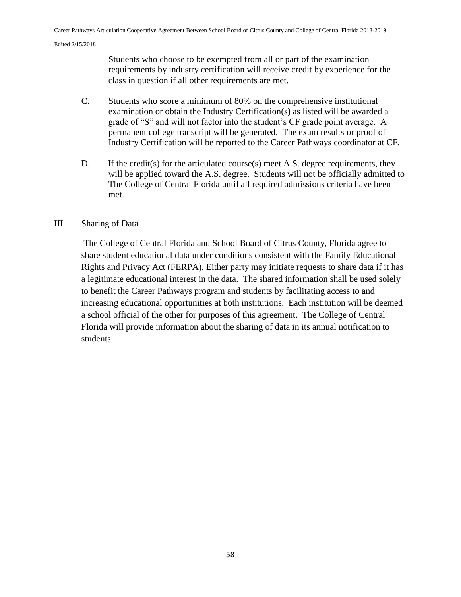Students who choose to be exempted from all or part of the examination requirements by industry certification will receive credit by experience for the class in question if all other requirements are met.

- C. Students who score a minimum of 80% on the comprehensive institutional examination or obtain the Industry Certification(s) as listed will be awarded a grade of "S" and will not factor into the student's CF grade point average. A permanent college transcript will be generated. The exam results or proof of Industry Certification will be reported to the Career Pathways coordinator at CF.
- D. If the credit(s) for the articulated course(s) meet A.S. degree requirements, they will be applied toward the A.S. degree. Students will not be officially admitted to The College of Central Florida until all required admissions criteria have been met.

### III. Sharing of Data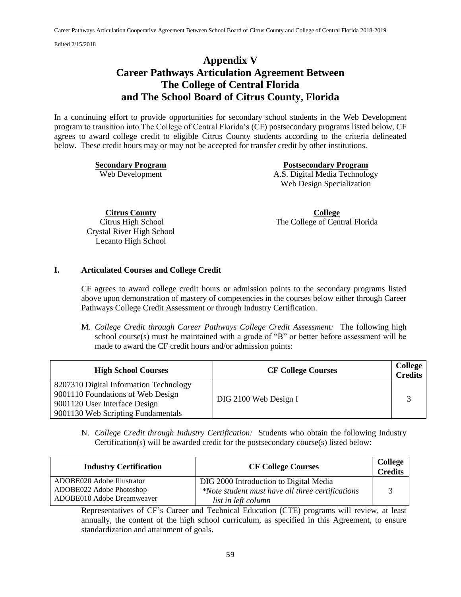## **Appendix V Career Pathways Articulation Agreement Between The College of Central Florida and The School Board of Citrus County, Florida**

In a continuing effort to provide opportunities for secondary school students in the Web Development program to transition into The College of Central Florida's (CF) postsecondary programs listed below, CF agrees to award college credit to eligible Citrus County students according to the criteria delineated below. These credit hours may or may not be accepted for transfer credit by other institutions.

**Secondary Program Postsecondary Program**  Web Development A.S. Digital Media Technology Web Design Specialization

**Citrus County**

Citrus High School Crystal River High School Lecanto High School

**College** The College of Central Florida

#### **I. Articulated Courses and College Credit**

CF agrees to award college credit hours or admission points to the secondary programs listed above upon demonstration of mastery of competencies in the courses below either through Career Pathways College Credit Assessment or through Industry Certification.

M. *College Credit through Career Pathways College Credit Assessment:* The following high school course(s) must be maintained with a grade of "B" or better before assessment will be made to award the CF credit hours and/or admission points:

| <b>High School Courses</b>                                                                                                                         | <b>CF College Courses</b> | College<br><b>Credits</b> |
|----------------------------------------------------------------------------------------------------------------------------------------------------|---------------------------|---------------------------|
| 8207310 Digital Information Technology<br>9001110 Foundations of Web Design<br>9001120 User Interface Design<br>9001130 Web Scripting Fundamentals | DIG 2100 Web Design I     |                           |

N. *College Credit through Industry Certification:* Students who obtain the following Industry Certification(s) will be awarded credit for the postsecondary course(s) listed below:

| <b>Industry Certification</b>                                                        | <b>CF College Courses</b>                                                                                         | College<br><b>Credits</b> |
|--------------------------------------------------------------------------------------|-------------------------------------------------------------------------------------------------------------------|---------------------------|
| ADOBE020 Adobe Illustrator<br>ADOBE022 Adobe Photoshop<br>ADOBE010 Adobe Dreamweaver | DIG 2000 Introduction to Digital Media<br>*Note student must have all three certifications<br>list in left column |                           |

Representatives of CF's Career and Technical Education (CTE) programs will review, at least annually, the content of the high school curriculum, as specified in this Agreement, to ensure standardization and attainment of goals.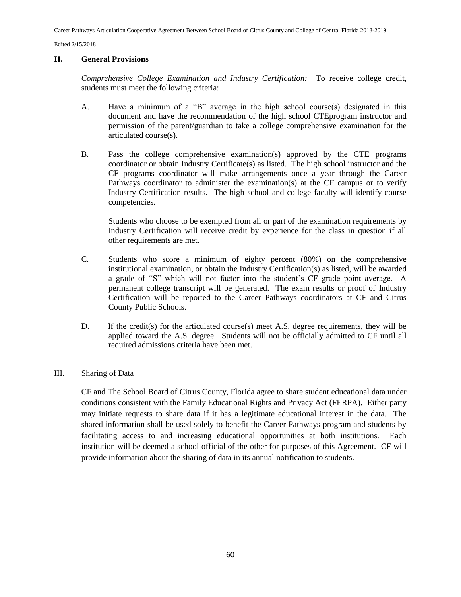Career Pathways Articulation Cooperative Agreement Between School Board of Citrus County and College of Central Florida 2018-2019

Edited 2/15/2018

#### **II. General Provisions**

*Comprehensive College Examination and Industry Certification:* To receive college credit, students must meet the following criteria:

- A. Have a minimum of a "B" average in the high school course(s) designated in this document and have the recommendation of the high school CTEprogram instructor and permission of the parent/guardian to take a college comprehensive examination for the articulated course(s).
- B. Pass the college comprehensive examination(s) approved by the CTE programs coordinator or obtain Industry Certificate(s) as listed. The high school instructor and the CF programs coordinator will make arrangements once a year through the Career Pathways coordinator to administer the examination(s) at the CF campus or to verify Industry Certification results. The high school and college faculty will identify course competencies.

Students who choose to be exempted from all or part of the examination requirements by Industry Certification will receive credit by experience for the class in question if all other requirements are met.

- C. Students who score a minimum of eighty percent (80%) on the comprehensive institutional examination, or obtain the Industry Certification(s) as listed, will be awarded a grade of "S" which will not factor into the student's CF grade point average. A permanent college transcript will be generated. The exam results or proof of Industry Certification will be reported to the Career Pathways coordinators at CF and Citrus County Public Schools.
- D. If the credit(s) for the articulated course(s) meet A.S. degree requirements, they will be applied toward the A.S. degree. Students will not be officially admitted to CF until all required admissions criteria have been met.

#### III. Sharing of Data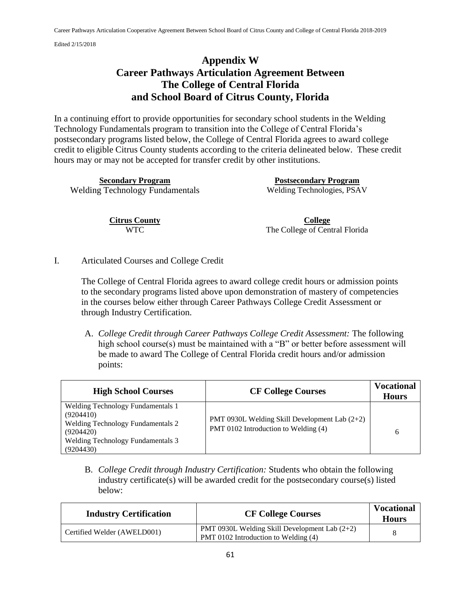# **Appendix W Career Pathways Articulation Agreement Between The College of Central Florida and School Board of Citrus County, Florida**

In a continuing effort to provide opportunities for secondary school students in the Welding Technology Fundamentals program to transition into the College of Central Florida's postsecondary programs listed below, the College of Central Florida agrees to award college credit to eligible Citrus County students according to the criteria delineated below. These credit hours may or may not be accepted for transfer credit by other institutions.

**Secondary Program Postsecondary Program**  Welding Technology Fundamentals Welding Technologies, PSAV

> **Citrus County** WTC

**College** The College of Central Florida

I. Articulated Courses and College Credit

The College of Central Florida agrees to award college credit hours or admission points to the secondary programs listed above upon demonstration of mastery of competencies in the courses below either through Career Pathways College Credit Assessment or through Industry Certification.

A. *College Credit through Career Pathways College Credit Assessment:* The following high school course(s) must be maintained with a "B" or better before assessment will be made to award The College of Central Florida credit hours and/or admission points:

| <b>High School Courses</b>                                                                                                                                              | <b>CF College Courses</b>                                                             | <b>Vocational</b><br><b>Hours</b> |
|-------------------------------------------------------------------------------------------------------------------------------------------------------------------------|---------------------------------------------------------------------------------------|-----------------------------------|
| <b>Welding Technology Fundamentals 1</b><br>(9204410)<br><b>Welding Technology Fundamentals 2</b><br>(9204420)<br><b>Welding Technology Fundamentals 3</b><br>(9204430) | PMT 0930L Welding Skill Development Lab (2+2)<br>PMT 0102 Introduction to Welding (4) | 6                                 |

B. *College Credit through Industry Certification:* Students who obtain the following industry certificate(s) will be awarded credit for the postsecondary course(s) listed below:

| <b>Industry Certification</b> | <b>CF College Courses</b>                                                               | <b>Vocational</b><br><b>Hours</b> |
|-------------------------------|-----------------------------------------------------------------------------------------|-----------------------------------|
| Certified Welder (AWELD001)   | PMT 0930L Welding Skill Development Lab $(2+2)$<br>PMT 0102 Introduction to Welding (4) |                                   |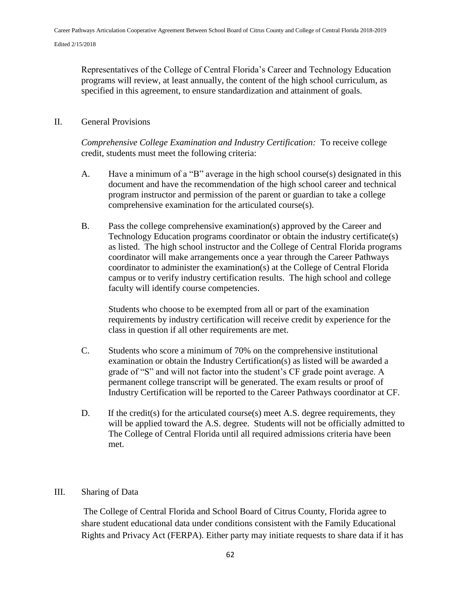Representatives of the College of Central Florida's Career and Technology Education programs will review, at least annually, the content of the high school curriculum, as specified in this agreement, to ensure standardization and attainment of goals.

### II. General Provisions

*Comprehensive College Examination and Industry Certification:* To receive college credit, students must meet the following criteria:

- A. Have a minimum of a "B" average in the high school course(s) designated in this document and have the recommendation of the high school career and technical program instructor and permission of the parent or guardian to take a college comprehensive examination for the articulated course(s).
- B. Pass the college comprehensive examination(s) approved by the Career and Technology Education programs coordinator or obtain the industry certificate(s) as listed. The high school instructor and the College of Central Florida programs coordinator will make arrangements once a year through the Career Pathways coordinator to administer the examination(s) at the College of Central Florida campus or to verify industry certification results. The high school and college faculty will identify course competencies.

Students who choose to be exempted from all or part of the examination requirements by industry certification will receive credit by experience for the class in question if all other requirements are met.

- C. Students who score a minimum of 70% on the comprehensive institutional examination or obtain the Industry Certification(s) as listed will be awarded a grade of "S" and will not factor into the student's CF grade point average. A permanent college transcript will be generated. The exam results or proof of Industry Certification will be reported to the Career Pathways coordinator at CF.
- D. If the credit(s) for the articulated course(s) meet A.S. degree requirements, they will be applied toward the A.S. degree. Students will not be officially admitted to The College of Central Florida until all required admissions criteria have been met.

### III. Sharing of Data

The College of Central Florida and School Board of Citrus County, Florida agree to share student educational data under conditions consistent with the Family Educational Rights and Privacy Act (FERPA). Either party may initiate requests to share data if it has